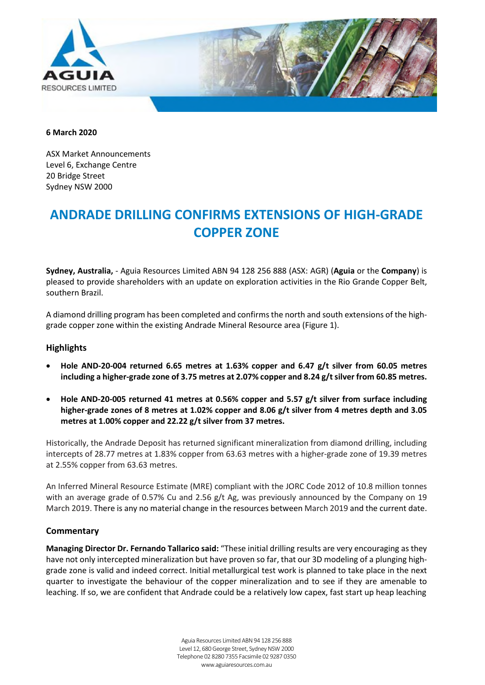

#### **6 March 2020**

ASX Market Announcements Level 6, Exchange Centre 20 Bridge Street Sydney NSW 2000

# **ANDRADE DRILLING CONFIRMS EXTENSIONS OF HIGH-GRADE COPPER ZONE**

**Sydney, Australia,** - Aguia Resources Limited ABN 94 128 256 888 (ASX: AGR) (**Aguia** or the **Company**) is pleased to provide shareholders with an update on exploration activities in the Rio Grande Copper Belt, southern Brazil.

A diamond drilling program has been completed and confirms the north and south extensions of the highgrade copper zone within the existing Andrade Mineral Resource area (Figure 1).

# **Highlights**

- **Hole AND-20-004 returned 6.65 metres at 1.63% copper and 6.47 g/t silver from 60.05 metres including a higher-grade zone of 3.75 metres at 2.07% copper and 8.24 g/t silver from 60.85 metres.**
- **Hole AND-20-005 returned 41 metres at 0.56% copper and 5.57 g/t silver from surface including higher-grade zones of 8 metres at 1.02% copper and 8.06 g/t silver from 4 metres depth and 3.05 metres at 1.00% copper and 22.22 g/t silver from 37 metres.**

Historically, the Andrade Deposit has returned significant mineralization from diamond drilling, including intercepts of 28.77 metres at 1.83% copper from 63.63 metres with a higher-grade zone of 19.39 metres at 2.55% copper from 63.63 metres.

An Inferred Mineral Resource Estimate (MRE) compliant with the JORC Code 2012 of 10.8 million tonnes with an average grade of 0.57% Cu and 2.56 g/t Ag, was previously announced by the Company on 19 March 2019. There is any no material change in the resources between March 2019 and the current date.

### **Commentary**

**Managing Director Dr. Fernando Tallarico said:** "These initial drilling results are very encouraging as they have not only intercepted mineralization but have proven so far, that our 3D modeling of a plunging highgrade zone is valid and indeed correct. Initial metallurgical test work is planned to take place in the next quarter to investigate the behaviour of the copper mineralization and to see if they are amenable to leaching. If so, we are confident that Andrade could be a relatively low capex, fast start up heap leaching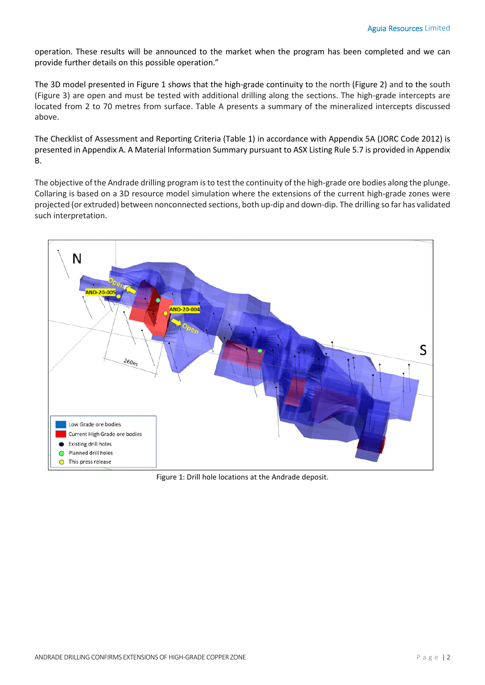operation. These results will be announced to the market when the program has been completed and we can provide further details on this possible operation."

The 3D model presented in Figure 1 shows that the high-grade continuity to the north (Figure 2) and to the south (Figure 3) are open and must be tested with additional drilling along the sections. The high-grade intercepts are located from 2 to 70 metres from surface. Table A presents a summary of the mineralized intercepts discussed above.

The Checklist of Assessment and Reporting Criteria (Table 1) in accordance with Appendix 5A (JORC Code 2012) is presented in Appendix A. A Material Information Summary pursuant to ASX Listing Rule 5.7 is provided in Appendix B.

The objective of the Andrade drilling program is to test the continuity of the high-grade ore bodies along the plunge. Collaring is based on a 3D resource model simulation where the extensions of the current high-grade zones were projected (or extruded) between nonconnected sections, both up-dip and down-dip. The drilling so far has validated such interpretation.



Figure 1: Drill hole locations at the Andrade deposit.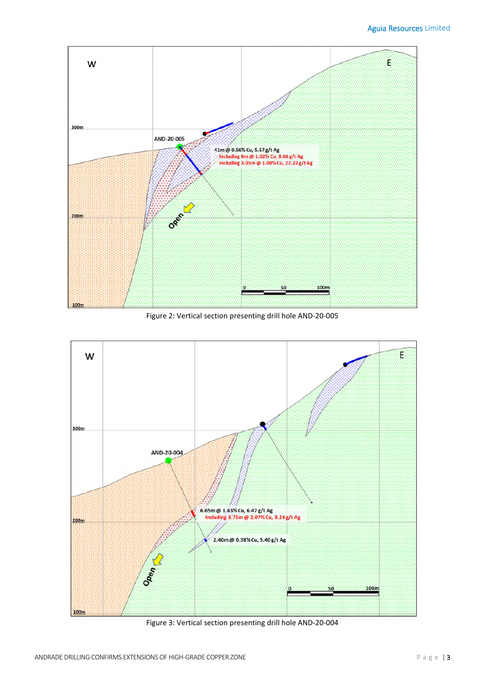

Figure 2: Vertical section presenting drill hole AND-20-005



Figure 3: Vertical section presenting drill hole AND-20-004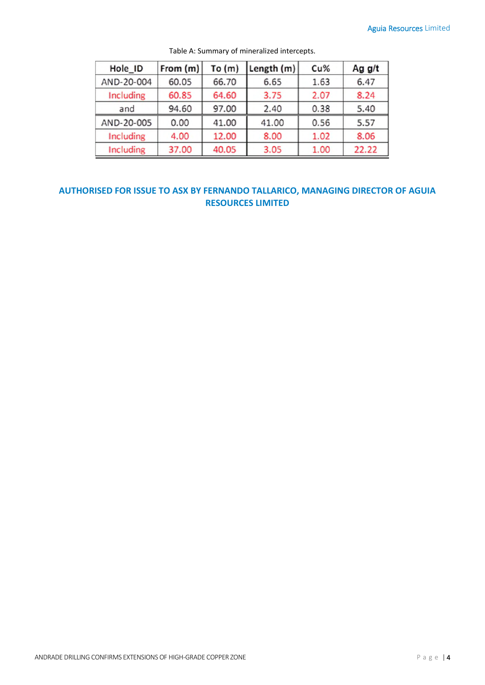| Hole ID    | From (m) | To $(m)$ | Length (m) | Cu%  | Ag g/t |
|------------|----------|----------|------------|------|--------|
| AND-20-004 | 60.05    | 66.70    | 6.65       | 1.63 | 6.47   |
| Including  | 60.85    | 64.60    | 3.75       | 2.07 | 8.24   |
| and        | 94.60    | 97.00    | 2.40       | 0.38 | 5.40   |
| AND-20-005 | 0.00     | 41.00    | 41.00      | 0.56 | 5.57   |
| Including  | 4.00     | 12.00    | 8.00       | 1.02 | 8.06   |
| Including  | 37.00    | 40.05    | 3.05       | 1.00 | 22.22  |

Table A: Summary of mineralized intercepts.

# **AUTHORISED FOR ISSUE TO ASX BY FERNANDO TALLARICO, MANAGING DIRECTOR OF AGUIA RESOURCES LIMITED**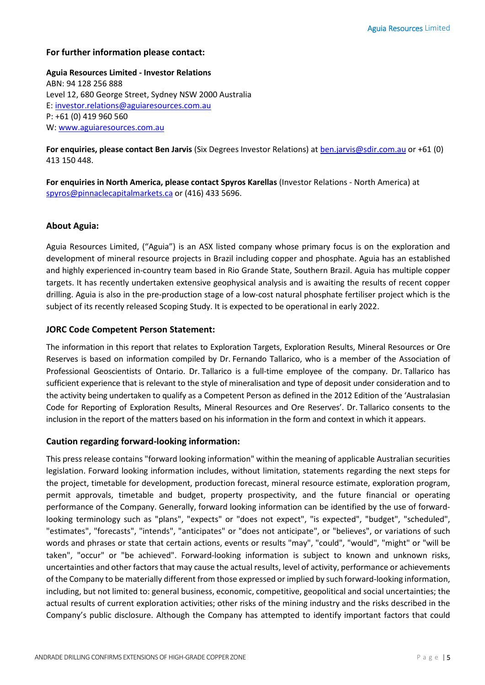## **For further information please contact:**

**Aguia Resources Limited - Investor Relations**  ABN: 94 128 256 888 Level 12, 680 George Street, Sydney NSW 2000 Australia E: investor.relations@aguiaresources.com.au P: +61 (0) 419 960 560 W: www.aguiaresources.com.au

**For enquiries, please contact Ben Jarvis** (Six Degrees Investor Relations) at ben.jarvis@sdir.com.au or +61 (0) 413 150 448.

**For enquiries in North America, please contact Spyros Karellas** (Investor Relations - North America) at spyros@pinnaclecapitalmarkets.ca or (416) 433 5696.

## **About Aguia:**

Aguia Resources Limited, ("Aguia") is an ASX listed company whose primary focus is on the exploration and development of mineral resource projects in Brazil including copper and phosphate. Aguia has an established and highly experienced in-country team based in Rio Grande State, Southern Brazil. Aguia has multiple copper targets. It has recently undertaken extensive geophysical analysis and is awaiting the results of recent copper drilling. Aguia is also in the pre-production stage of a low-cost natural phosphate fertiliser project which is the subject of its recently released Scoping Study. It is expected to be operational in early 2022.

## **JORC Code Competent Person Statement:**

The information in this report that relates to Exploration Targets, Exploration Results, Mineral Resources or Ore Reserves is based on information compiled by Dr. Fernando Tallarico, who is a member of the Association of Professional Geoscientists of Ontario. Dr. Tallarico is a full-time employee of the company. Dr. Tallarico has sufficient experience that is relevant to the style of mineralisation and type of deposit under consideration and to the activity being undertaken to qualify as a Competent Person as defined in the 2012 Edition of the 'Australasian Code for Reporting of Exploration Results, Mineral Resources and Ore Reserves'. Dr. Tallarico consents to the inclusion in the report of the matters based on his information in the form and context in which it appears.

# **Caution regarding forward-looking information:**

This press release contains "forward looking information" within the meaning of applicable Australian securities legislation. Forward looking information includes, without limitation, statements regarding the next steps for the project, timetable for development, production forecast, mineral resource estimate, exploration program, permit approvals, timetable and budget, property prospectivity, and the future financial or operating performance of the Company. Generally, forward looking information can be identified by the use of forwardlooking terminology such as "plans", "expects" or "does not expect", "is expected", "budget", "scheduled", "estimates", "forecasts", "intends", "anticipates" or "does not anticipate", or "believes", or variations of such words and phrases or state that certain actions, events or results "may", "could", "would", "might" or "will be taken", "occur" or "be achieved". Forward-looking information is subject to known and unknown risks, uncertainties and other factors that may cause the actual results, level of activity, performance or achievements of the Company to be materially different from those expressed or implied by such forward-looking information, including, but not limited to: general business, economic, competitive, geopolitical and social uncertainties; the actual results of current exploration activities; other risks of the mining industry and the risks described in the Company's public disclosure. Although the Company has attempted to identify important factors that could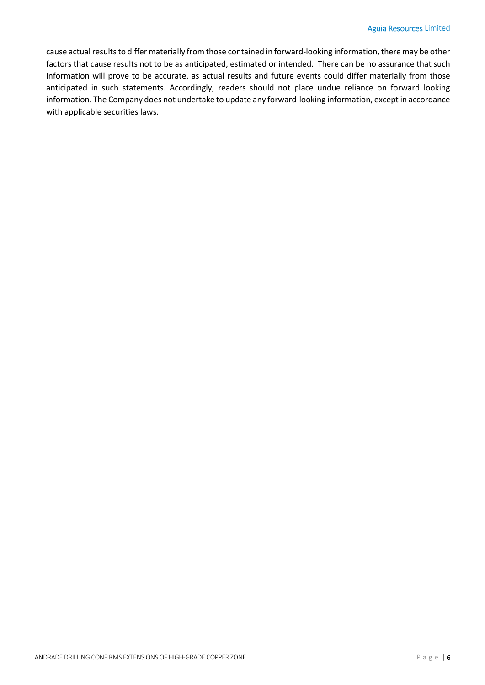cause actual results to differ materially from those contained in forward-looking information, there may be other factors that cause results not to be as anticipated, estimated or intended. There can be no assurance that such information will prove to be accurate, as actual results and future events could differ materially from those anticipated in such statements. Accordingly, readers should not place undue reliance on forward looking information. The Company does not undertake to update any forward-looking information, except in accordance with applicable securities laws.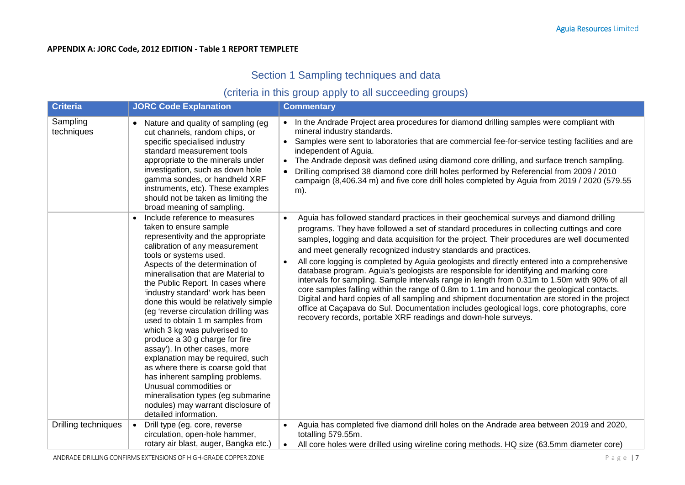## **APPENDIX A: JORC Code, 2012 EDITION - Table 1 REPORT TEMPLETE**

# Section 1 Sampling techniques and data

# (criteria in this group apply to all succeeding groups)

| <b>Criteria</b>        | <b>JORC Code Explanation</b>                                                                                                                                                                                                                                                                                                                                                                                                                                                                                                                                                                                                                                                                                                                                                                   | <b>Commentary</b>                                                                                                                                                                                                                                                                                                                                                                                                                                                                                                                                                                                                                                                                                                                                                                                                                                                                                                                                                                                          |
|------------------------|------------------------------------------------------------------------------------------------------------------------------------------------------------------------------------------------------------------------------------------------------------------------------------------------------------------------------------------------------------------------------------------------------------------------------------------------------------------------------------------------------------------------------------------------------------------------------------------------------------------------------------------------------------------------------------------------------------------------------------------------------------------------------------------------|------------------------------------------------------------------------------------------------------------------------------------------------------------------------------------------------------------------------------------------------------------------------------------------------------------------------------------------------------------------------------------------------------------------------------------------------------------------------------------------------------------------------------------------------------------------------------------------------------------------------------------------------------------------------------------------------------------------------------------------------------------------------------------------------------------------------------------------------------------------------------------------------------------------------------------------------------------------------------------------------------------|
| Sampling<br>techniques | Nature and quality of sampling (eg<br>cut channels, random chips, or<br>specific specialised industry<br>standard measurement tools<br>appropriate to the minerals under<br>investigation, such as down hole<br>gamma sondes, or handheld XRF<br>instruments, etc). These examples<br>should not be taken as limiting the<br>broad meaning of sampling.                                                                                                                                                                                                                                                                                                                                                                                                                                        | • In the Andrade Project area procedures for diamond drilling samples were compliant with<br>mineral industry standards.<br>• Samples were sent to laboratories that are commercial fee-for-service testing facilities and are<br>independent of Aguia.<br>The Andrade deposit was defined using diamond core drilling, and surface trench sampling.<br>Drilling comprised 38 diamond core drill holes performed by Referencial from 2009 / 2010<br>campaign (8,406.34 m) and five core drill holes completed by Aguia from 2019 / 2020 (579.55<br>m).                                                                                                                                                                                                                                                                                                                                                                                                                                                     |
|                        | Include reference to measures<br>$\bullet$<br>taken to ensure sample<br>representivity and the appropriate<br>calibration of any measurement<br>tools or systems used.<br>Aspects of the determination of<br>mineralisation that are Material to<br>the Public Report. In cases where<br>'industry standard' work has been<br>done this would be relatively simple<br>(eg 'reverse circulation drilling was<br>used to obtain 1 m samples from<br>which 3 kg was pulverised to<br>produce a 30 g charge for fire<br>assay'). In other cases, more<br>explanation may be required, such<br>as where there is coarse gold that<br>has inherent sampling problems.<br>Unusual commodities or<br>mineralisation types (eg submarine<br>nodules) may warrant disclosure of<br>detailed information. | Aguia has followed standard practices in their geochemical surveys and diamond drilling<br>programs. They have followed a set of standard procedures in collecting cuttings and core<br>samples, logging and data acquisition for the project. Their procedures are well documented<br>and meet generally recognized industry standards and practices.<br>All core logging is completed by Aguia geologists and directly entered into a comprehensive<br>database program. Aguia's geologists are responsible for identifying and marking core<br>intervals for sampling. Sample intervals range in length from 0.31m to 1.50m with 90% of all<br>core samples falling within the range of 0.8m to 1.1m and honour the geological contacts.<br>Digital and hard copies of all sampling and shipment documentation are stored in the project<br>office at Caçapava do Sul. Documentation includes geological logs, core photographs, core<br>recovery records, portable XRF readings and down-hole surveys. |
| Drilling techniques    | Drill type (eg. core, reverse<br>$\bullet$<br>circulation, open-hole hammer,<br>rotary air blast, auger, Bangka etc.)                                                                                                                                                                                                                                                                                                                                                                                                                                                                                                                                                                                                                                                                          | Aguia has completed five diamond drill holes on the Andrade area between 2019 and 2020,<br>totalling 579.55m.<br>All core holes were drilled using wireline coring methods. HQ size (63.5mm diameter core)                                                                                                                                                                                                                                                                                                                                                                                                                                                                                                                                                                                                                                                                                                                                                                                                 |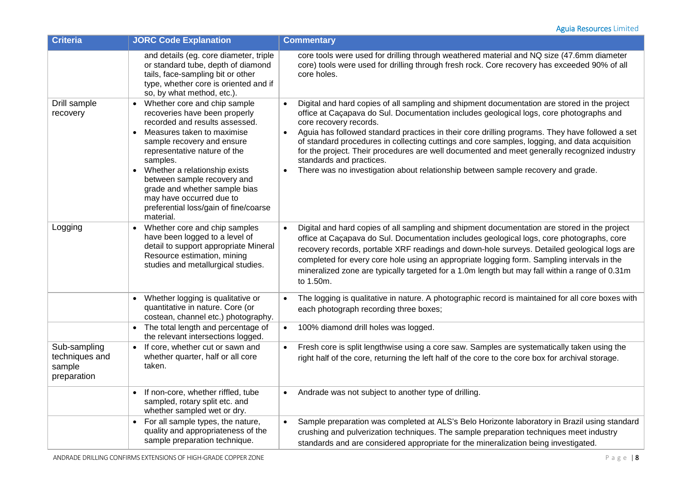| <b>Criteria</b>                                         | <b>JORC Code Explanation</b>                                                                                                                                                                                                                                                                                                                                                                              | <b>Commentary</b>                                                                                                                                                                                                                                                                                                                                                                                                                                                                                                                                                                                                                                               |
|---------------------------------------------------------|-----------------------------------------------------------------------------------------------------------------------------------------------------------------------------------------------------------------------------------------------------------------------------------------------------------------------------------------------------------------------------------------------------------|-----------------------------------------------------------------------------------------------------------------------------------------------------------------------------------------------------------------------------------------------------------------------------------------------------------------------------------------------------------------------------------------------------------------------------------------------------------------------------------------------------------------------------------------------------------------------------------------------------------------------------------------------------------------|
|                                                         | and details (eg. core diameter, triple<br>or standard tube, depth of diamond<br>tails, face-sampling bit or other<br>type, whether core is oriented and if<br>so, by what method, etc.).                                                                                                                                                                                                                  | core tools were used for drilling through weathered material and NQ size (47.6mm diameter<br>core) tools were used for drilling through fresh rock. Core recovery has exceeded 90% of all<br>core holes.                                                                                                                                                                                                                                                                                                                                                                                                                                                        |
| Drill sample<br>recovery                                | Whether core and chip sample<br>recoveries have been properly<br>recorded and results assessed.<br>Measures taken to maximise<br>$\bullet$<br>sample recovery and ensure<br>representative nature of the<br>samples.<br>• Whether a relationship exists<br>between sample recovery and<br>grade and whether sample bias<br>may have occurred due to<br>preferential loss/gain of fine/coarse<br>material. | Digital and hard copies of all sampling and shipment documentation are stored in the project<br>office at Caçapava do Sul. Documentation includes geological logs, core photographs and<br>core recovery records.<br>Aguia has followed standard practices in their core drilling programs. They have followed a set<br>$\bullet$<br>of standard procedures in collecting cuttings and core samples, logging, and data acquisition<br>for the project. Their procedures are well documented and meet generally recognized industry<br>standards and practices.<br>There was no investigation about relationship between sample recovery and grade.<br>$\bullet$ |
| Logging                                                 | Whether core and chip samples<br>$\bullet$<br>have been logged to a level of<br>detail to support appropriate Mineral<br>Resource estimation, mining<br>studies and metallurgical studies.                                                                                                                                                                                                                | Digital and hard copies of all sampling and shipment documentation are stored in the project<br>office at Caçapava do Sul. Documentation includes geological logs, core photographs, core<br>recovery records, portable XRF readings and down-hole surveys. Detailed geological logs are<br>completed for every core hole using an appropriate logging form. Sampling intervals in the<br>mineralized zone are typically targeted for a 1.0m length but may fall within a range of 0.31m<br>to 1.50m.                                                                                                                                                           |
|                                                         | Whether logging is qualitative or<br>$\bullet$<br>quantitative in nature. Core (or<br>costean, channel etc.) photography.                                                                                                                                                                                                                                                                                 | The logging is qualitative in nature. A photographic record is maintained for all core boxes with<br>each photograph recording three boxes;                                                                                                                                                                                                                                                                                                                                                                                                                                                                                                                     |
|                                                         | • The total length and percentage of<br>the relevant intersections logged.                                                                                                                                                                                                                                                                                                                                | 100% diamond drill holes was logged.<br>$\bullet$                                                                                                                                                                                                                                                                                                                                                                                                                                                                                                                                                                                                               |
| Sub-sampling<br>techniques and<br>sample<br>preparation | • If core, whether cut or sawn and<br>whether quarter, half or all core<br>taken.                                                                                                                                                                                                                                                                                                                         | Fresh core is split lengthwise using a core saw. Samples are systematically taken using the<br>$\bullet$<br>right half of the core, returning the left half of the core to the core box for archival storage.                                                                                                                                                                                                                                                                                                                                                                                                                                                   |
|                                                         | If non-core, whether riffled, tube<br>sampled, rotary split etc. and<br>whether sampled wet or dry.                                                                                                                                                                                                                                                                                                       | Andrade was not subject to another type of drilling.<br>$\bullet$                                                                                                                                                                                                                                                                                                                                                                                                                                                                                                                                                                                               |
|                                                         | • For all sample types, the nature,<br>quality and appropriateness of the<br>sample preparation technique.                                                                                                                                                                                                                                                                                                | Sample preparation was completed at ALS's Belo Horizonte laboratory in Brazil using standard<br>$\bullet$<br>crushing and pulverization techniques. The sample preparation techniques meet industry<br>standards and are considered appropriate for the mineralization being investigated.                                                                                                                                                                                                                                                                                                                                                                      |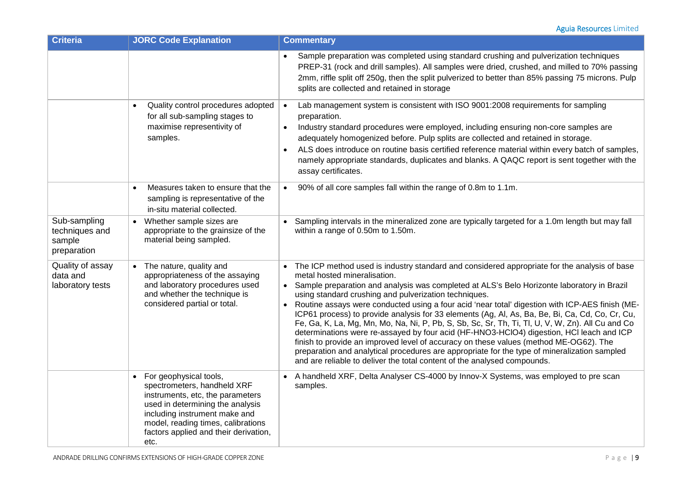| <b>Criteria</b>                                         | <b>JORC Code Explanation</b>                                                                                                                                                                                                                            | <b>Commentary</b>                                                                                                                                                                                                                                                                                                                                                                                                                                                                                                                                                                                                                                                                                                                                                                                                                                                                                                                                                |
|---------------------------------------------------------|---------------------------------------------------------------------------------------------------------------------------------------------------------------------------------------------------------------------------------------------------------|------------------------------------------------------------------------------------------------------------------------------------------------------------------------------------------------------------------------------------------------------------------------------------------------------------------------------------------------------------------------------------------------------------------------------------------------------------------------------------------------------------------------------------------------------------------------------------------------------------------------------------------------------------------------------------------------------------------------------------------------------------------------------------------------------------------------------------------------------------------------------------------------------------------------------------------------------------------|
|                                                         |                                                                                                                                                                                                                                                         | Sample preparation was completed using standard crushing and pulverization techniques<br>PREP-31 (rock and drill samples). All samples were dried, crushed, and milled to 70% passing<br>2mm, riffle split off 250g, then the split pulverized to better than 85% passing 75 microns. Pulp<br>splits are collected and retained in storage                                                                                                                                                                                                                                                                                                                                                                                                                                                                                                                                                                                                                       |
|                                                         | Quality control procedures adopted<br>for all sub-sampling stages to<br>maximise representivity of<br>samples.                                                                                                                                          | Lab management system is consistent with ISO 9001:2008 requirements for sampling<br>preparation.<br>Industry standard procedures were employed, including ensuring non-core samples are<br>adequately homogenized before. Pulp splits are collected and retained in storage.<br>ALS does introduce on routine basis certified reference material within every batch of samples,<br>$\bullet$<br>namely appropriate standards, duplicates and blanks. A QAQC report is sent together with the<br>assay certificates.                                                                                                                                                                                                                                                                                                                                                                                                                                              |
|                                                         | Measures taken to ensure that the<br>sampling is representative of the<br>in-situ material collected.                                                                                                                                                   | 90% of all core samples fall within the range of 0.8m to 1.1m.<br>$\bullet$                                                                                                                                                                                                                                                                                                                                                                                                                                                                                                                                                                                                                                                                                                                                                                                                                                                                                      |
| Sub-sampling<br>techniques and<br>sample<br>preparation | Whether sample sizes are<br>appropriate to the grainsize of the<br>material being sampled.                                                                                                                                                              | Sampling intervals in the mineralized zone are typically targeted for a 1.0m length but may fall<br>within a range of 0.50m to 1.50m.                                                                                                                                                                                                                                                                                                                                                                                                                                                                                                                                                                                                                                                                                                                                                                                                                            |
| Quality of assay<br>data and<br>laboratory tests        | The nature, quality and<br>appropriateness of the assaying<br>and laboratory procedures used<br>and whether the technique is<br>considered partial or total.                                                                                            | The ICP method used is industry standard and considered appropriate for the analysis of base<br>metal hosted mineralisation.<br>• Sample preparation and analysis was completed at ALS's Belo Horizonte laboratory in Brazil<br>using standard crushing and pulverization techniques.<br>Routine assays were conducted using a four acid 'near total' digestion with ICP-AES finish (ME-<br>ICP61 process) to provide analysis for 33 elements (Ag, Al, As, Ba, Be, Bi, Ca, Cd, Co, Cr, Cu,<br>Fe, Ga, K, La, Mg, Mn, Mo, Na, Ni, P, Pb, S, Sb, Sc, Sr, Th, Ti, Tl, U, V, W, Zn). All Cu and Co<br>determinations were re-assayed by four acid (HF-HNO3-HClO4) digestion, HCl leach and ICP<br>finish to provide an improved level of accuracy on these values (method ME-OG62). The<br>preparation and analytical procedures are appropriate for the type of mineralization sampled<br>and are reliable to deliver the total content of the analysed compounds. |
|                                                         | • For geophysical tools,<br>spectrometers, handheld XRF<br>instruments, etc, the parameters<br>used in determining the analysis<br>including instrument make and<br>model, reading times, calibrations<br>factors applied and their derivation,<br>etc. | A handheld XRF, Delta Analyser CS-4000 by Innov-X Systems, was employed to pre scan<br>samples.                                                                                                                                                                                                                                                                                                                                                                                                                                                                                                                                                                                                                                                                                                                                                                                                                                                                  |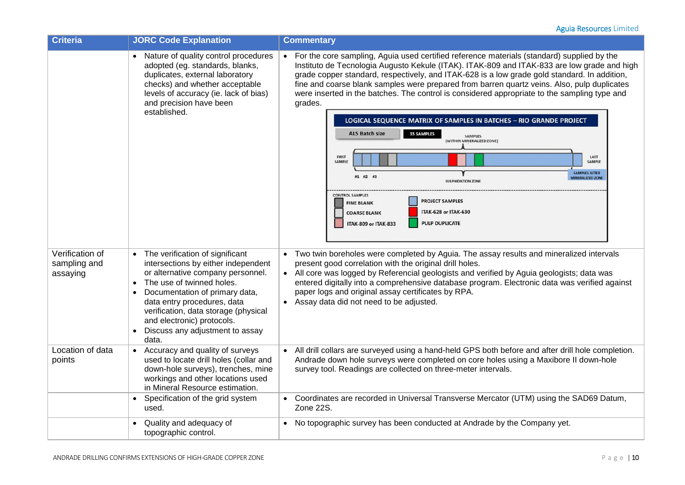| <b>Criteria</b>                             | <b>JORC Code Explanation</b>                                                                                                                                                                                                                                                                                                                            | <b>Commentary</b>                                                                                                                                                                                                                                                                                                                                                                                                                                                                                                                                                                                                                                                                                                                                                                                                                                                                                                                                                                             |
|---------------------------------------------|---------------------------------------------------------------------------------------------------------------------------------------------------------------------------------------------------------------------------------------------------------------------------------------------------------------------------------------------------------|-----------------------------------------------------------------------------------------------------------------------------------------------------------------------------------------------------------------------------------------------------------------------------------------------------------------------------------------------------------------------------------------------------------------------------------------------------------------------------------------------------------------------------------------------------------------------------------------------------------------------------------------------------------------------------------------------------------------------------------------------------------------------------------------------------------------------------------------------------------------------------------------------------------------------------------------------------------------------------------------------|
|                                             | Nature of quality control procedures<br>adopted (eg. standards, blanks,<br>duplicates, external laboratory<br>checks) and whether acceptable<br>levels of accuracy (ie. lack of bias)<br>and precision have been<br>established.                                                                                                                        | For the core sampling, Aguia used certified reference materials (standard) supplied by the<br>Instituto de Tecnologia Augusto Kekule (ITAK). ITAK-809 and ITAK-833 are low grade and high<br>grade copper standard, respectively, and ITAK-628 is a low grade gold standard. In addition,<br>fine and coarse blank samples were prepared from barren quartz veins. Also, pulp duplicates<br>were inserted in the batches. The control is considered appropriate to the sampling type and<br>grades.<br>LOGICAL SEQUENCE MATRIX OF SAMPLES IN BATCHES - RIO GRANDE PROJECT<br><b>ALS Batch size</b><br><b>35 SAMPLES</b><br><b>SAMPLES</b><br>(WITHIN MINERALIZED ZONE)<br><b>FIRST</b><br>LAST<br><b>SAMPLE</b><br>SAMPLE<br><b>SAMPLES AFTER</b><br>#1 #2 #3<br><b>IINERALIZED ZONE</b><br><b>SULPHIDATION ZONE</b><br><b>CONTROL SAMPLES</b><br><b>PROJECT SAMPLES</b><br><b>FINE BLANK</b><br>ITAK-628 or ITAK-630<br><b>COARSE BLANK</b><br><b>PULP DUPLICATE</b><br>ITAK-809 or ITAK-833 |
| Verification of<br>sampling and<br>assaying | • The verification of significant<br>intersections by either independent<br>or alternative company personnel.<br>The use of twinned holes.<br>$\bullet$<br>Documentation of primary data,<br>data entry procedures, data<br>verification, data storage (physical<br>and electronic) protocols.<br>Discuss any adjustment to assay<br>$\bullet$<br>data. | • Two twin boreholes were completed by Aguia. The assay results and mineralized intervals<br>present good correlation with the original drill holes.<br>All core was logged by Referencial geologists and verified by Aguia geologists; data was<br>entered digitally into a comprehensive database program. Electronic data was verified against<br>paper logs and original assay certificates by RPA.<br>• Assay data did not need to be adjusted.                                                                                                                                                                                                                                                                                                                                                                                                                                                                                                                                          |
| Location of data<br>points                  | Accuracy and quality of surveys<br>used to locate drill holes (collar and<br>down-hole surveys), trenches, mine<br>workings and other locations used<br>in Mineral Resource estimation.                                                                                                                                                                 | All drill collars are surveyed using a hand-held GPS both before and after drill hole completion.<br>Andrade down hole surveys were completed on core holes using a Maxibore II down-hole<br>survey tool. Readings are collected on three-meter intervals.                                                                                                                                                                                                                                                                                                                                                                                                                                                                                                                                                                                                                                                                                                                                    |
|                                             | Specification of the grid system<br>$\bullet$<br>used.                                                                                                                                                                                                                                                                                                  | Coordinates are recorded in Universal Transverse Mercator (UTM) using the SAD69 Datum,<br>Zone 22S.                                                                                                                                                                                                                                                                                                                                                                                                                                                                                                                                                                                                                                                                                                                                                                                                                                                                                           |
|                                             | Quality and adequacy of<br>topographic control.                                                                                                                                                                                                                                                                                                         | No topographic survey has been conducted at Andrade by the Company yet.                                                                                                                                                                                                                                                                                                                                                                                                                                                                                                                                                                                                                                                                                                                                                                                                                                                                                                                       |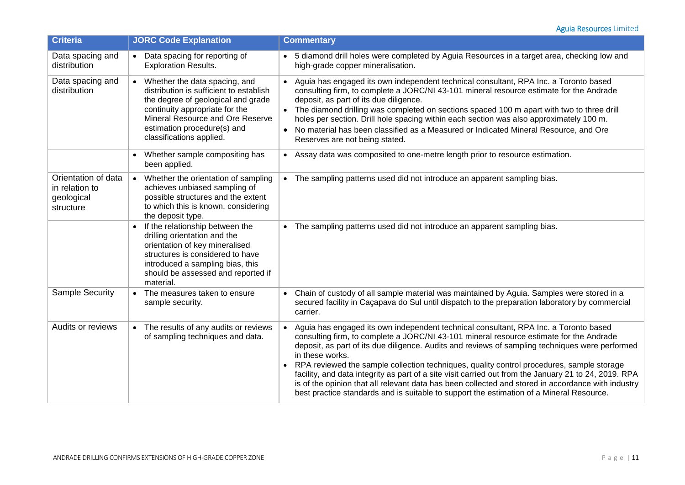| <b>Criteria</b>                                                  | <b>JORC Code Explanation</b>                                                                                                                                                                                                                      | <b>Commentary</b>                                                                                                                                                                                                                                                                                                                                                                                                                                                                                                                                                                                                                                                                                             |
|------------------------------------------------------------------|---------------------------------------------------------------------------------------------------------------------------------------------------------------------------------------------------------------------------------------------------|---------------------------------------------------------------------------------------------------------------------------------------------------------------------------------------------------------------------------------------------------------------------------------------------------------------------------------------------------------------------------------------------------------------------------------------------------------------------------------------------------------------------------------------------------------------------------------------------------------------------------------------------------------------------------------------------------------------|
| Data spacing and<br>distribution                                 | • Data spacing for reporting of<br><b>Exploration Results.</b>                                                                                                                                                                                    | • 5 diamond drill holes were completed by Aguia Resources in a target area, checking low and<br>high-grade copper mineralisation.                                                                                                                                                                                                                                                                                                                                                                                                                                                                                                                                                                             |
| Data spacing and<br>distribution                                 | • Whether the data spacing, and<br>distribution is sufficient to establish<br>the degree of geological and grade<br>continuity appropriate for the<br>Mineral Resource and Ore Reserve<br>estimation procedure(s) and<br>classifications applied. | Aguia has engaged its own independent technical consultant, RPA Inc. a Toronto based<br>consulting firm, to complete a JORC/NI 43-101 mineral resource estimate for the Andrade<br>deposit, as part of its due diligence.<br>The diamond drilling was completed on sections spaced 100 m apart with two to three drill<br>holes per section. Drill hole spacing within each section was also approximately 100 m.<br>No material has been classified as a Measured or Indicated Mineral Resource, and Ore<br>Reserves are not being stated.                                                                                                                                                                   |
|                                                                  | Whether sample compositing has<br>been applied.                                                                                                                                                                                                   | Assay data was composited to one-metre length prior to resource estimation.                                                                                                                                                                                                                                                                                                                                                                                                                                                                                                                                                                                                                                   |
| Orientation of data<br>in relation to<br>geological<br>structure | Whether the orientation of sampling<br>$\bullet$<br>achieves unbiased sampling of<br>possible structures and the extent<br>to which this is known, considering<br>the deposit type.                                                               | • The sampling patterns used did not introduce an apparent sampling bias.                                                                                                                                                                                                                                                                                                                                                                                                                                                                                                                                                                                                                                     |
|                                                                  | If the relationship between the<br>drilling orientation and the<br>orientation of key mineralised<br>structures is considered to have<br>introduced a sampling bias, this<br>should be assessed and reported if<br>material.                      | The sampling patterns used did not introduce an apparent sampling bias.                                                                                                                                                                                                                                                                                                                                                                                                                                                                                                                                                                                                                                       |
| <b>Sample Security</b>                                           | • The measures taken to ensure<br>sample security.                                                                                                                                                                                                | Chain of custody of all sample material was maintained by Aguia. Samples were stored in a<br>secured facility in Caçapava do Sul until dispatch to the preparation laboratory by commercial<br>carrier.                                                                                                                                                                                                                                                                                                                                                                                                                                                                                                       |
| Audits or reviews                                                | The results of any audits or reviews<br>$\bullet$<br>of sampling techniques and data.                                                                                                                                                             | Aguia has engaged its own independent technical consultant, RPA Inc. a Toronto based<br>consulting firm, to complete a JORC/NI 43-101 mineral resource estimate for the Andrade<br>deposit, as part of its due diligence. Audits and reviews of sampling techniques were performed<br>in these works.<br>RPA reviewed the sample collection techniques, quality control procedures, sample storage<br>facility, and data integrity as part of a site visit carried out from the January 21 to 24, 2019. RPA<br>is of the opinion that all relevant data has been collected and stored in accordance with industry<br>best practice standards and is suitable to support the estimation of a Mineral Resource. |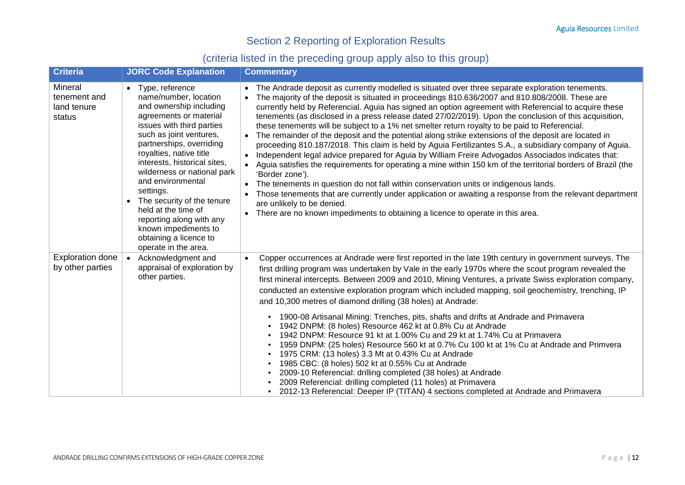# Section 2 Reporting of Exploration Results

# (criteria listed in the preceding group apply also to this group)

| <b>Criteria</b>                                  | <b>JORC Code Explanation</b>                                                                                                                                                                                                                                                                                                                                                                                                                                                 | <b>Commentary</b>                                                                                                                                                                                                                                                                                                                                                                                                                                                                                                                                                                                                                                                                                                                                                                                                                                                                                                                                                                                                                                                                                                                                                                                                                                                                                                                    |
|--------------------------------------------------|------------------------------------------------------------------------------------------------------------------------------------------------------------------------------------------------------------------------------------------------------------------------------------------------------------------------------------------------------------------------------------------------------------------------------------------------------------------------------|--------------------------------------------------------------------------------------------------------------------------------------------------------------------------------------------------------------------------------------------------------------------------------------------------------------------------------------------------------------------------------------------------------------------------------------------------------------------------------------------------------------------------------------------------------------------------------------------------------------------------------------------------------------------------------------------------------------------------------------------------------------------------------------------------------------------------------------------------------------------------------------------------------------------------------------------------------------------------------------------------------------------------------------------------------------------------------------------------------------------------------------------------------------------------------------------------------------------------------------------------------------------------------------------------------------------------------------|
| Mineral<br>tenement and<br>land tenure<br>status | • Type, reference<br>name/number, location<br>and ownership including<br>agreements or material<br>issues with third parties<br>such as joint ventures,<br>partnerships, overriding<br>royalties, native title<br>interests, historical sites,<br>wilderness or national park<br>and environmental<br>settings.<br>• The security of the tenure<br>held at the time of<br>reporting along with any<br>known impediments to<br>obtaining a licence to<br>operate in the area. | The Andrade deposit as currently modelled is situated over three separate exploration tenements.<br>The majority of the deposit is situated in proceedings 810.636/2007 and 810.808/2008. These are<br>currently held by Referencial. Aguia has signed an option agreement with Referencial to acquire these<br>tenements (as disclosed in a press release dated 27/02/2019). Upon the conclusion of this acquisition,<br>these tenements will be subject to a 1% net smelter return royalty to be paid to Referencial.<br>The remainder of the deposit and the potential along strike extensions of the deposit are located in<br>proceeding 810.187/2018. This claim is held by Aguia Fertilizantes S.A., a subsidiary company of Aguia.<br>Independent legal advice prepared for Aguia by William Freire Advogados Associados indicates that:<br>$\bullet$<br>Aguia satisfies the requirements for operating a mine within 150 km of the territorial borders of Brazil (the<br>'Border zone').<br>The tenements in question do not fall within conservation units or indigenous lands.<br>$\bullet$<br>Those tenements that are currently under application or awaiting a response from the relevant department<br>are unlikely to be denied.<br>• There are no known impediments to obtaining a licence to operate in this area. |
| <b>Exploration done</b><br>by other parties      | • Acknowledgment and<br>appraisal of exploration by<br>other parties.                                                                                                                                                                                                                                                                                                                                                                                                        | Copper occurrences at Andrade were first reported in the late 19th century in government surveys. The<br>$\bullet$<br>first drilling program was undertaken by Vale in the early 1970s where the scout program revealed the<br>first mineral intercepts. Between 2009 and 2010, Mining Ventures, a private Swiss exploration company,<br>conducted an extensive exploration program which included mapping, soil geochemistry, trenching, IP<br>and 10,300 metres of diamond drilling (38 holes) at Andrade:                                                                                                                                                                                                                                                                                                                                                                                                                                                                                                                                                                                                                                                                                                                                                                                                                         |
|                                                  |                                                                                                                                                                                                                                                                                                                                                                                                                                                                              | 1900-08 Artisanal Mining: Trenches, pits, shafts and drifts at Andrade and Primavera<br>$\bullet$<br>1942 DNPM: (8 holes) Resource 462 kt at 0.8% Cu at Andrade<br>1942 DNPM: Resource 91 kt at 1.00% Cu and 29 kt at 1.74% Cu at Primavera<br>1959 DNPM: (25 holes) Resource 560 kt at 0.7% Cu 100 kt at 1% Cu at Andrade and Primvera<br>$\bullet$<br>1975 CRM: (13 holes) 3.3 Mt at 0.43% Cu at Andrade<br>$\bullet$<br>1985 CBC: (8 holes) 502 kt at 0.55% Cu at Andrade<br>$\bullet$<br>2009-10 Referencial: drilling completed (38 holes) at Andrade<br>$\bullet$<br>2009 Referencial: drilling completed (11 holes) at Primavera<br>2012-13 Referencial: Deeper IP (TITAN) 4 sections completed at Andrade and Primavera                                                                                                                                                                                                                                                                                                                                                                                                                                                                                                                                                                                                      |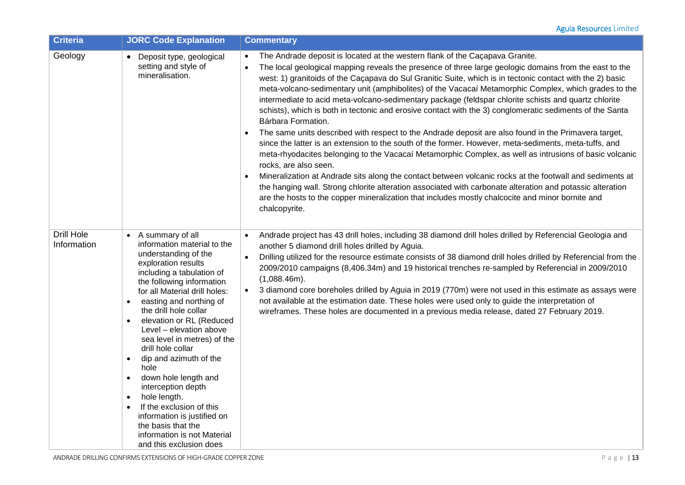| <b>Criteria</b>           | <b>JORC Code Explanation</b>                                                                                                                                                                                                                                                                                                                                                                                                                                                                                                                                                                                                                                           | <b>Commentary</b>                                                                                                                                                                                                                                                                                                                                                                                                                                                                                                                                                                                                                                                                                                                                                                                                                                                                                                                                                                                                                                                                                                                                                                                                                                                                                                                                                                                           |
|---------------------------|------------------------------------------------------------------------------------------------------------------------------------------------------------------------------------------------------------------------------------------------------------------------------------------------------------------------------------------------------------------------------------------------------------------------------------------------------------------------------------------------------------------------------------------------------------------------------------------------------------------------------------------------------------------------|-------------------------------------------------------------------------------------------------------------------------------------------------------------------------------------------------------------------------------------------------------------------------------------------------------------------------------------------------------------------------------------------------------------------------------------------------------------------------------------------------------------------------------------------------------------------------------------------------------------------------------------------------------------------------------------------------------------------------------------------------------------------------------------------------------------------------------------------------------------------------------------------------------------------------------------------------------------------------------------------------------------------------------------------------------------------------------------------------------------------------------------------------------------------------------------------------------------------------------------------------------------------------------------------------------------------------------------------------------------------------------------------------------------|
| Geology                   | • Deposit type, geological<br>setting and style of<br>mineralisation.                                                                                                                                                                                                                                                                                                                                                                                                                                                                                                                                                                                                  | The Andrade deposit is located at the western flank of the Caçapava Granite.<br>$\bullet$<br>The local geological mapping reveals the presence of three large geologic domains from the east to the<br>$\bullet$<br>west: 1) granitoids of the Caçapava do Sul Granitic Suite, which is in tectonic contact with the 2) basic<br>meta-volcano-sedimentary unit (amphibolites) of the Vacacaí Metamorphic Complex, which grades to the<br>intermediate to acid meta-volcano-sedimentary package (feldspar chlorite schists and quartz chlorite<br>schists), which is both in tectonic and erosive contact with the 3) conglomeratic sediments of the Santa<br>Bárbara Formation.<br>The same units described with respect to the Andrade deposit are also found in the Primavera target,<br>$\bullet$<br>since the latter is an extension to the south of the former. However, meta-sediments, meta-tuffs, and<br>meta-rhyodacites belonging to the Vacacaí Metamorphic Complex, as well as intrusions of basic volcanic<br>rocks, are also seen.<br>Mineralization at Andrade sits along the contact between volcanic rocks at the footwall and sediments at<br>$\bullet$<br>the hanging wall. Strong chlorite alteration associated with carbonate alteration and potassic alteration<br>are the hosts to the copper mineralization that includes mostly chalcocite and minor bornite and<br>chalcopyrite. |
| Drill Hole<br>Information | • A summary of all<br>information material to the<br>understanding of the<br>exploration results<br>including a tabulation of<br>the following information<br>for all Material drill holes:<br>easting and northing of<br>$\bullet$<br>the drill hole collar<br>elevation or RL (Reduced<br>$\bullet$<br>Level - elevation above<br>sea level in metres) of the<br>drill hole collar<br>dip and azimuth of the<br>$\bullet$<br>hole<br>down hole length and<br>interception depth<br>hole length.<br>$\bullet$<br>If the exclusion of this<br>$\bullet$<br>information is justified on<br>the basis that the<br>information is not Material<br>and this exclusion does | Andrade project has 43 drill holes, including 38 diamond drill holes drilled by Referencial Geologia and<br>$\bullet$<br>another 5 diamond drill holes drilled by Aguia.<br>Drilling utilized for the resource estimate consists of 38 diamond drill holes drilled by Referencial from the<br>$\bullet$<br>2009/2010 campaigns (8,406.34m) and 19 historical trenches re-sampled by Referencial in 2009/2010<br>$(1,088.46m)$ .<br>3 diamond core boreholes drilled by Aguia in 2019 (770m) were not used in this estimate as assays were<br>$\bullet$<br>not available at the estimation date. These holes were used only to guide the interpretation of<br>wireframes. These holes are documented in a previous media release, dated 27 February 2019.                                                                                                                                                                                                                                                                                                                                                                                                                                                                                                                                                                                                                                                    |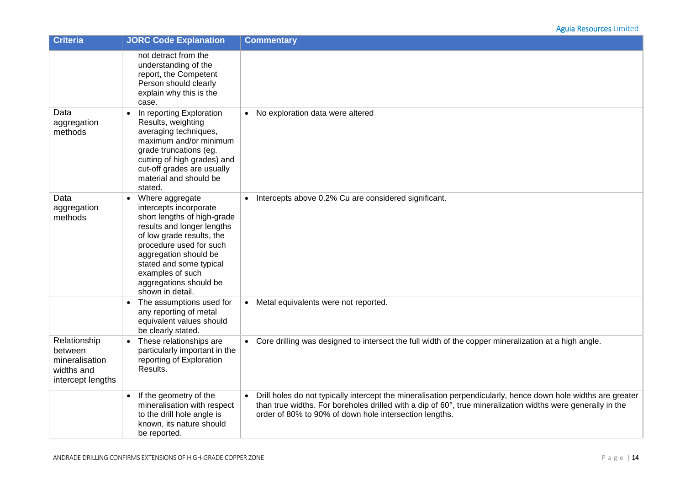| <b>Criteria</b>                                                              | <b>JORC Code Explanation</b>                                                                                                                                                                                                                                                                      | <b>Commentary</b>                                                                                                                                                                                                                                                                        |
|------------------------------------------------------------------------------|---------------------------------------------------------------------------------------------------------------------------------------------------------------------------------------------------------------------------------------------------------------------------------------------------|------------------------------------------------------------------------------------------------------------------------------------------------------------------------------------------------------------------------------------------------------------------------------------------|
|                                                                              | not detract from the<br>understanding of the<br>report, the Competent<br>Person should clearly<br>explain why this is the<br>case.                                                                                                                                                                |                                                                                                                                                                                                                                                                                          |
| Data<br>aggregation<br>methods                                               | In reporting Exploration<br>$\bullet$<br>Results, weighting<br>averaging techniques,<br>maximum and/or minimum<br>grade truncations (eg.<br>cutting of high grades) and<br>cut-off grades are usually<br>material and should be<br>stated.                                                        | • No exploration data were altered                                                                                                                                                                                                                                                       |
| Data<br>aggregation<br>methods                                               | Where aggregate<br>$\bullet$<br>intercepts incorporate<br>short lengths of high-grade<br>results and longer lengths<br>of low grade results, the<br>procedure used for such<br>aggregation should be<br>stated and some typical<br>examples of such<br>aggregations should be<br>shown in detail. | • Intercepts above 0.2% Cu are considered significant.                                                                                                                                                                                                                                   |
|                                                                              | The assumptions used for<br>$\bullet$<br>any reporting of metal<br>equivalent values should<br>be clearly stated.                                                                                                                                                                                 | • Metal equivalents were not reported.                                                                                                                                                                                                                                                   |
| Relationship<br>between<br>mineralisation<br>widths and<br>intercept lengths | These relationships are<br>particularly important in the<br>reporting of Exploration<br>Results.                                                                                                                                                                                                  | • Core drilling was designed to intersect the full width of the copper mineralization at a high angle.                                                                                                                                                                                   |
|                                                                              | If the geometry of the<br>$\bullet$<br>mineralisation with respect<br>to the drill hole angle is<br>known, its nature should<br>be reported.                                                                                                                                                      | • Drill holes do not typically intercept the mineralisation perpendicularly, hence down hole widths are greater<br>than true widths. For boreholes drilled with a dip of 60°, true mineralization widths were generally in the<br>order of 80% to 90% of down hole intersection lengths. |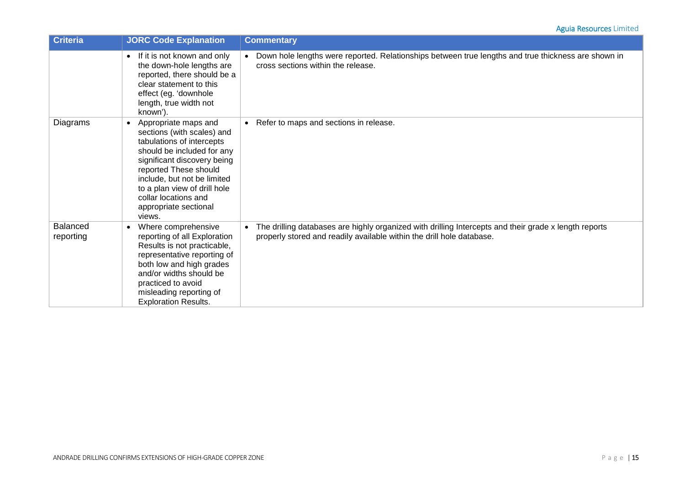| <b>Criteria</b>              | <b>JORC Code Explanation</b>                                                                                                                                                                                                                                                                                 | <b>Commentary</b>                                                                                                                                                                           |
|------------------------------|--------------------------------------------------------------------------------------------------------------------------------------------------------------------------------------------------------------------------------------------------------------------------------------------------------------|---------------------------------------------------------------------------------------------------------------------------------------------------------------------------------------------|
|                              | If it is not known and only<br>$\bullet$<br>the down-hole lengths are<br>reported, there should be a<br>clear statement to this<br>effect (eg. 'downhole<br>length, true width not<br>known').                                                                                                               | Down hole lengths were reported. Relationships between true lengths and true thickness are shown in<br>cross sections within the release.                                                   |
| Diagrams                     | Appropriate maps and<br>$\bullet$<br>sections (with scales) and<br>tabulations of intercepts<br>should be included for any<br>significant discovery being<br>reported These should<br>include, but not be limited<br>to a plan view of drill hole<br>collar locations and<br>appropriate sectional<br>views. | • Refer to maps and sections in release.                                                                                                                                                    |
| <b>Balanced</b><br>reporting | Where comprehensive<br>$\bullet$<br>reporting of all Exploration<br>Results is not practicable,<br>representative reporting of<br>both low and high grades<br>and/or widths should be<br>practiced to avoid<br>misleading reporting of<br><b>Exploration Results.</b>                                        | The drilling databases are highly organized with drilling Intercepts and their grade x length reports<br>$\bullet$<br>properly stored and readily available within the drill hole database. |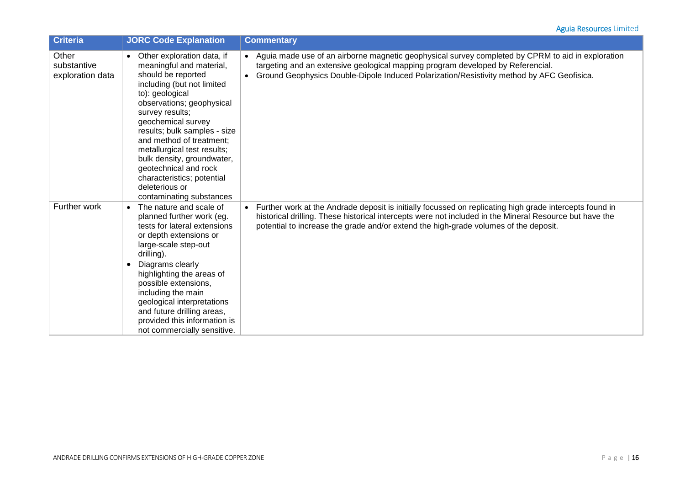| <b>Criteria</b>                          | <b>JORC Code Explanation</b>                                                                                                                                                                                                                                                                                                                                                                                                      | <b>Commentary</b>                                                                                                                                                                                                                                                                                            |
|------------------------------------------|-----------------------------------------------------------------------------------------------------------------------------------------------------------------------------------------------------------------------------------------------------------------------------------------------------------------------------------------------------------------------------------------------------------------------------------|--------------------------------------------------------------------------------------------------------------------------------------------------------------------------------------------------------------------------------------------------------------------------------------------------------------|
| Other<br>substantive<br>exploration data | Other exploration data, if<br>meaningful and material,<br>should be reported<br>including (but not limited<br>to): geological<br>observations; geophysical<br>survey results;<br>geochemical survey<br>results; bulk samples - size<br>and method of treatment;<br>metallurgical test results;<br>bulk density, groundwater,<br>geotechnical and rock<br>characteristics; potential<br>deleterious or<br>contaminating substances | • Aguia made use of an airborne magnetic geophysical survey completed by CPRM to aid in exploration<br>targeting and an extensive geological mapping program developed by Referencial.<br>• Ground Geophysics Double-Dipole Induced Polarization/Resistivity method by AFC Geofisica.                        |
| <b>Further work</b>                      | The nature and scale of<br>$\bullet$<br>planned further work (eg.<br>tests for lateral extensions<br>or depth extensions or<br>large-scale step-out<br>drilling).<br>Diagrams clearly<br>highlighting the areas of<br>possible extensions,<br>including the main<br>geological interpretations<br>and future drilling areas,<br>provided this information is<br>not commercially sensitive.                                       | • Further work at the Andrade deposit is initially focussed on replicating high grade intercepts found in<br>historical drilling. These historical intercepts were not included in the Mineral Resource but have the<br>potential to increase the grade and/or extend the high-grade volumes of the deposit. |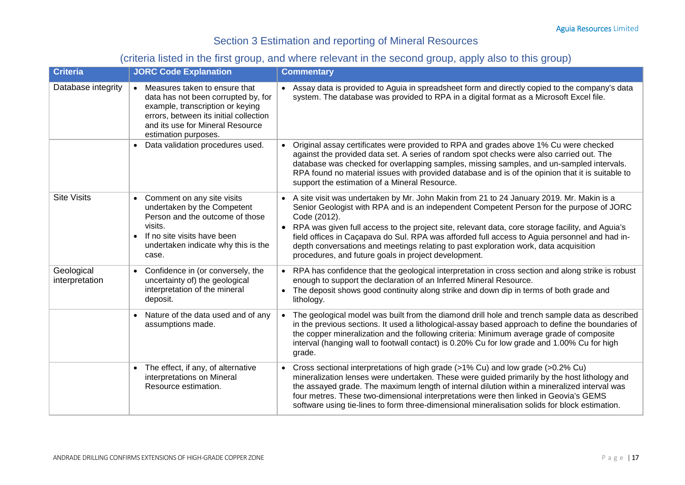# Section 3 Estimation and reporting of Mineral Resources

# (criteria listed in the first group, and where relevant in the second group, apply also to this group)

| <b>Criteria</b>              | <b>JORC Code Explanation</b>                                                                                                                                                                                     | <b>Commentary</b>                                                                                                                                                                                                                                                                                                                                                                                                                                                                                                                                                      |
|------------------------------|------------------------------------------------------------------------------------------------------------------------------------------------------------------------------------------------------------------|------------------------------------------------------------------------------------------------------------------------------------------------------------------------------------------------------------------------------------------------------------------------------------------------------------------------------------------------------------------------------------------------------------------------------------------------------------------------------------------------------------------------------------------------------------------------|
| Database integrity           | • Measures taken to ensure that<br>data has not been corrupted by, for<br>example, transcription or keying<br>errors, between its initial collection<br>and its use for Mineral Resource<br>estimation purposes. | Assay data is provided to Aguia in spreadsheet form and directly copied to the company's data<br>system. The database was provided to RPA in a digital format as a Microsoft Excel file.                                                                                                                                                                                                                                                                                                                                                                               |
|                              | • Data validation procedures used.                                                                                                                                                                               | Original assay certificates were provided to RPA and grades above 1% Cu were checked<br>against the provided data set. A series of random spot checks were also carried out. The<br>database was checked for overlapping samples, missing samples, and un-sampled intervals.<br>RPA found no material issues with provided database and is of the opinion that it is suitable to<br>support the estimation of a Mineral Resource.                                                                                                                                      |
| <b>Site Visits</b>           | • Comment on any site visits<br>undertaken by the Competent<br>Person and the outcome of those<br>visits.<br>If no site visits have been<br>undertaken indicate why this is the<br>case.                         | A site visit was undertaken by Mr. John Makin from 21 to 24 January 2019. Mr. Makin is a<br>$\bullet$<br>Senior Geologist with RPA and is an independent Competent Person for the purpose of JORC<br>Code (2012).<br>RPA was given full access to the project site, relevant data, core storage facility, and Aguia's<br>field offices in Caçapava do Sul. RPA was afforded full access to Aguia personnel and had in-<br>depth conversations and meetings relating to past exploration work, data acquisition<br>procedures, and future goals in project development. |
| Geological<br>interpretation | • Confidence in (or conversely, the<br>uncertainty of) the geological<br>interpretation of the mineral<br>deposit.                                                                                               | RPA has confidence that the geological interpretation in cross section and along strike is robust<br>enough to support the declaration of an Inferred Mineral Resource.<br>The deposit shows good continuity along strike and down dip in terms of both grade and<br>lithology.                                                                                                                                                                                                                                                                                        |
|                              | Nature of the data used and of any<br>assumptions made.                                                                                                                                                          | The geological model was built from the diamond drill hole and trench sample data as described<br>in the previous sections. It used a lithological-assay based approach to define the boundaries of<br>the copper mineralization and the following criteria: Minimum average grade of composite<br>interval (hanging wall to footwall contact) is 0.20% Cu for low grade and 1.00% Cu for high<br>grade.                                                                                                                                                               |
|                              | • The effect, if any, of alternative<br>interpretations on Mineral<br>Resource estimation.                                                                                                                       | Cross sectional interpretations of high grade (>1% Cu) and low grade (>0.2% Cu)<br>$\bullet$<br>mineralization lenses were undertaken. These were guided primarily by the host lithology and<br>the assayed grade. The maximum length of internal dilution within a mineralized interval was<br>four metres. These two-dimensional interpretations were then linked in Geovia's GEMS<br>software using tie-lines to form three-dimensional mineralisation solids for block estimation.                                                                                 |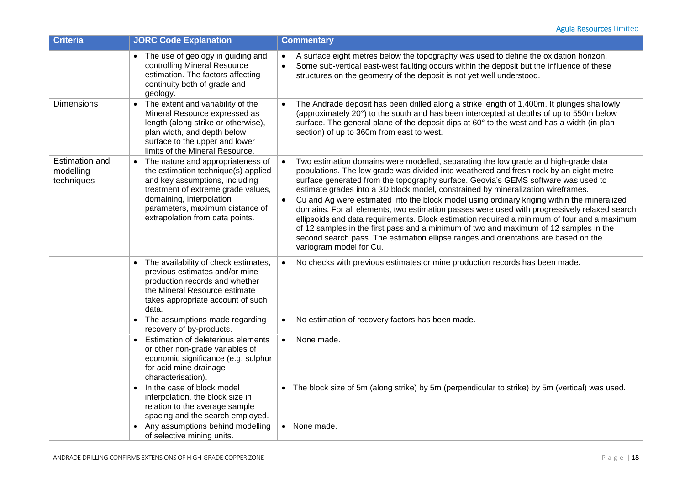| <b>Criteria</b>                                  | <b>JORC Code Explanation</b>                                                                                                                                                                                                                       | <b>Commentary</b>                                                                                                                                                                                                                                                                                                                                                                                                                                                                                                                                                                                                                                                                                                                                                                                                                                                                        |
|--------------------------------------------------|----------------------------------------------------------------------------------------------------------------------------------------------------------------------------------------------------------------------------------------------------|------------------------------------------------------------------------------------------------------------------------------------------------------------------------------------------------------------------------------------------------------------------------------------------------------------------------------------------------------------------------------------------------------------------------------------------------------------------------------------------------------------------------------------------------------------------------------------------------------------------------------------------------------------------------------------------------------------------------------------------------------------------------------------------------------------------------------------------------------------------------------------------|
|                                                  | • The use of geology in guiding and<br>controlling Mineral Resource<br>estimation. The factors affecting<br>continuity both of grade and<br>geology.                                                                                               | A surface eight metres below the topography was used to define the oxidation horizon.<br>$\bullet$<br>Some sub-vertical east-west faulting occurs within the deposit but the influence of these<br>$\bullet$<br>structures on the geometry of the deposit is not yet well understood.                                                                                                                                                                                                                                                                                                                                                                                                                                                                                                                                                                                                    |
| <b>Dimensions</b>                                | The extent and variability of the<br>Mineral Resource expressed as<br>length (along strike or otherwise),<br>plan width, and depth below<br>surface to the upper and lower<br>limits of the Mineral Resource.                                      | The Andrade deposit has been drilled along a strike length of 1,400m. It plunges shallowly<br>$\bullet$<br>(approximately 20°) to the south and has been intercepted at depths of up to 550m below<br>surface. The general plane of the deposit dips at 60° to the west and has a width (in plan<br>section) of up to 360m from east to west.                                                                                                                                                                                                                                                                                                                                                                                                                                                                                                                                            |
| <b>Estimation and</b><br>modelling<br>techniques | The nature and appropriateness of<br>the estimation technique(s) applied<br>and key assumptions, including<br>treatment of extreme grade values,<br>domaining, interpolation<br>parameters, maximum distance of<br>extrapolation from data points. | Two estimation domains were modelled, separating the low grade and high-grade data<br>$\bullet$<br>populations. The low grade was divided into weathered and fresh rock by an eight-metre<br>surface generated from the topography surface. Geovia's GEMS software was used to<br>estimate grades into a 3D block model, constrained by mineralization wireframes.<br>Cu and Ag were estimated into the block model using ordinary kriging within the mineralized<br>$\bullet$<br>domains. For all elements, two estimation passes were used with progressively relaxed search<br>ellipsoids and data requirements. Block estimation required a minimum of four and a maximum<br>of 12 samples in the first pass and a minimum of two and maximum of 12 samples in the<br>second search pass. The estimation ellipse ranges and orientations are based on the<br>variogram model for Cu. |
|                                                  | The availability of check estimates,<br>previous estimates and/or mine<br>production records and whether<br>the Mineral Resource estimate<br>takes appropriate account of such<br>data.                                                            | No checks with previous estimates or mine production records has been made.<br>$\bullet$                                                                                                                                                                                                                                                                                                                                                                                                                                                                                                                                                                                                                                                                                                                                                                                                 |
|                                                  | The assumptions made regarding<br>recovery of by-products.                                                                                                                                                                                         | No estimation of recovery factors has been made.<br>$\bullet$                                                                                                                                                                                                                                                                                                                                                                                                                                                                                                                                                                                                                                                                                                                                                                                                                            |
|                                                  | Estimation of deleterious elements<br>$\bullet$<br>or other non-grade variables of<br>economic significance (e.g. sulphur<br>for acid mine drainage<br>characterisation).                                                                          | None made.<br>$\bullet$                                                                                                                                                                                                                                                                                                                                                                                                                                                                                                                                                                                                                                                                                                                                                                                                                                                                  |
|                                                  | In the case of block model<br>$\bullet$<br>interpolation, the block size in<br>relation to the average sample<br>spacing and the search employed.                                                                                                  | The block size of 5m (along strike) by 5m (perpendicular to strike) by 5m (vertical) was used.<br>$\bullet$                                                                                                                                                                                                                                                                                                                                                                                                                                                                                                                                                                                                                                                                                                                                                                              |
|                                                  | • Any assumptions behind modelling<br>of selective mining units.                                                                                                                                                                                   | • None made.                                                                                                                                                                                                                                                                                                                                                                                                                                                                                                                                                                                                                                                                                                                                                                                                                                                                             |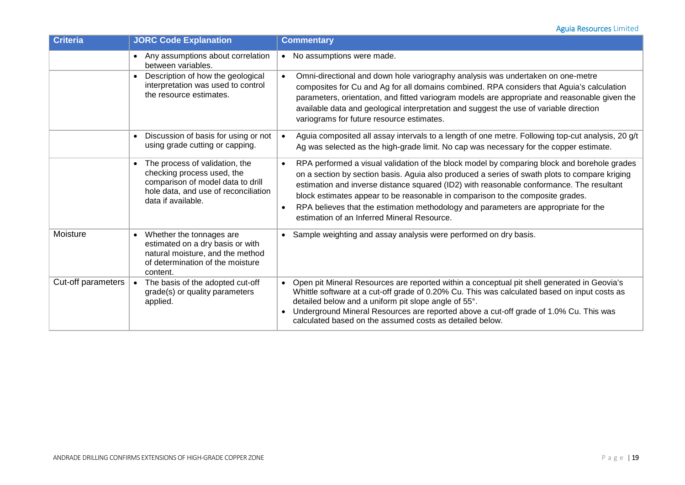| <b>Criteria</b>    | <b>JORC Code Explanation</b>                                                                                                                                    | <b>Commentary</b>                                                                                                                                                                                                                                                                                                                                                                                                                                                                                                                          |
|--------------------|-----------------------------------------------------------------------------------------------------------------------------------------------------------------|--------------------------------------------------------------------------------------------------------------------------------------------------------------------------------------------------------------------------------------------------------------------------------------------------------------------------------------------------------------------------------------------------------------------------------------------------------------------------------------------------------------------------------------------|
|                    | • Any assumptions about correlation<br>between variables.                                                                                                       | No assumptions were made.<br>$\bullet$                                                                                                                                                                                                                                                                                                                                                                                                                                                                                                     |
|                    | Description of how the geological<br>interpretation was used to control<br>the resource estimates.                                                              | Omni-directional and down hole variography analysis was undertaken on one-metre<br>$\bullet$<br>composites for Cu and Ag for all domains combined. RPA considers that Aguia's calculation<br>parameters, orientation, and fitted variogram models are appropriate and reasonable given the<br>available data and geological interpretation and suggest the use of variable direction<br>variograms for future resource estimates.                                                                                                          |
|                    | Discussion of basis for using or not<br>using grade cutting or capping.                                                                                         | Aguia composited all assay intervals to a length of one metre. Following top-cut analysis, 20 g/t<br>$\bullet$<br>Ag was selected as the high-grade limit. No cap was necessary for the copper estimate.                                                                                                                                                                                                                                                                                                                                   |
|                    | The process of validation, the<br>checking process used, the<br>comparison of model data to drill<br>hole data, and use of reconciliation<br>data if available. | RPA performed a visual validation of the block model by comparing block and borehole grades<br>$\bullet$<br>on a section by section basis. Aguia also produced a series of swath plots to compare kriging<br>estimation and inverse distance squared (ID2) with reasonable conformance. The resultant<br>block estimates appear to be reasonable in comparison to the composite grades.<br>RPA believes that the estimation methodology and parameters are appropriate for the<br>$\bullet$<br>estimation of an Inferred Mineral Resource. |
| Moisture           | Whether the tonnages are<br>$\bullet$<br>estimated on a dry basis or with<br>natural moisture, and the method<br>of determination of the moisture<br>content.   | Sample weighting and assay analysis were performed on dry basis.<br>$\bullet$                                                                                                                                                                                                                                                                                                                                                                                                                                                              |
| Cut-off parameters | The basis of the adopted cut-off<br>grade(s) or quality parameters<br>applied.                                                                                  | Open pit Mineral Resources are reported within a conceptual pit shell generated in Geovia's<br>$\bullet$<br>Whittle software at a cut-off grade of 0.20% Cu. This was calculated based on input costs as<br>detailed below and a uniform pit slope angle of 55°.<br>Underground Mineral Resources are reported above a cut-off grade of 1.0% Cu. This was<br>calculated based on the assumed costs as detailed below.                                                                                                                      |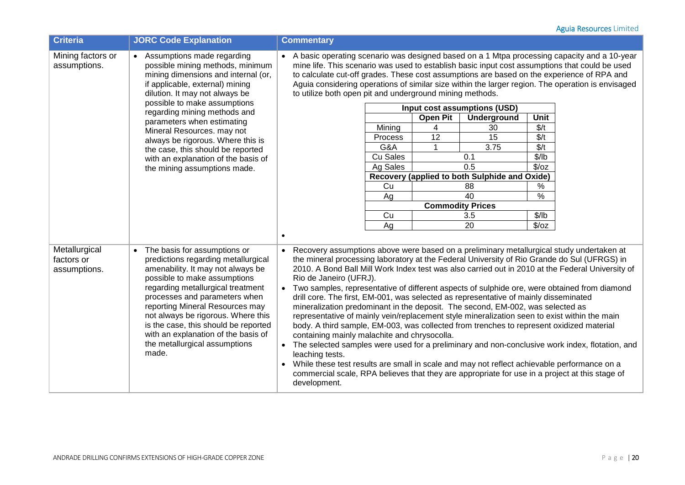| <b>Criteria</b>                             | <b>JORC Code Explanation</b>                                                                                                                                                                                                                                                                                                                                                                                                                              | <b>Commentary</b>                                                                                                                                                                                                                                                                                                                                                                                                                                                                                                                                                                                                                                                                                                                                                                                                                                                                                                                                                                                                                                                                                                                                                                 |  |
|---------------------------------------------|-----------------------------------------------------------------------------------------------------------------------------------------------------------------------------------------------------------------------------------------------------------------------------------------------------------------------------------------------------------------------------------------------------------------------------------------------------------|-----------------------------------------------------------------------------------------------------------------------------------------------------------------------------------------------------------------------------------------------------------------------------------------------------------------------------------------------------------------------------------------------------------------------------------------------------------------------------------------------------------------------------------------------------------------------------------------------------------------------------------------------------------------------------------------------------------------------------------------------------------------------------------------------------------------------------------------------------------------------------------------------------------------------------------------------------------------------------------------------------------------------------------------------------------------------------------------------------------------------------------------------------------------------------------|--|
| Mining factors or<br>assumptions.           | • Assumptions made regarding<br>possible mining methods, minimum<br>mining dimensions and internal (or,<br>if applicable, external) mining<br>dilution. It may not always be<br>possible to make assumptions<br>regarding mining methods and<br>parameters when estimating<br>Mineral Resources. may not<br>always be rigorous. Where this is<br>the case, this should be reported<br>with an explanation of the basis of<br>the mining assumptions made. | • A basic operating scenario was designed based on a 1 Mtpa processing capacity and a 10-year<br>mine life. This scenario was used to establish basic input cost assumptions that could be used<br>to calculate cut-off grades. These cost assumptions are based on the experience of RPA and<br>Aguia considering operations of similar size within the larger region. The operation is envisaged<br>to utilize both open pit and underground mining methods.<br>Input cost assumptions (USD)<br><b>Open Pit</b><br>Underground<br>Unit<br>\$/t<br>Mining<br>4<br>30<br>12<br>15<br>\$/t<br>Process<br>G&A<br>3.75<br>\$/t<br>Cu Sales<br>\$/lb<br>0.1<br>$\sqrt{2}/oz$<br>Ag Sales<br>0.5<br>Recovery (applied to both Sulphide and Oxide)<br>Cu<br>$\%$<br>88<br>40<br>$\frac{0}{0}$<br>Ag<br><b>Commodity Prices</b><br>Cu<br>\$/lb<br>3.5<br>20<br>$\sqrt{2}/oz$<br>Ag<br>$\bullet$                                                                                                                                                                                                                                                                                          |  |
| Metallurgical<br>factors or<br>assumptions. | The basis for assumptions or<br>$\bullet$<br>predictions regarding metallurgical<br>amenability. It may not always be<br>possible to make assumptions<br>regarding metallurgical treatment<br>processes and parameters when<br>reporting Mineral Resources may<br>not always be rigorous. Where this<br>is the case, this should be reported<br>with an explanation of the basis of<br>the metallurgical assumptions<br>made.                             | Recovery assumptions above were based on a preliminary metallurgical study undertaken at<br>the mineral processing laboratory at the Federal University of Rio Grande do Sul (UFRGS) in<br>2010. A Bond Ball Mill Work Index test was also carried out in 2010 at the Federal University of<br>Rio de Janeiro (UFRJ).<br>Two samples, representative of different aspects of sulphide ore, were obtained from diamond<br>drill core. The first, EM-001, was selected as representative of mainly disseminated<br>mineralization predominant in the deposit. The second, EM-002, was selected as<br>representative of mainly vein/replacement style mineralization seen to exist within the main<br>body. A third sample, EM-003, was collected from trenches to represent oxidized material<br>containing mainly malachite and chrysocolla.<br>The selected samples were used for a preliminary and non-conclusive work index, flotation, and<br>leaching tests.<br>While these test results are small in scale and may not reflect achievable performance on a<br>commercial scale, RPA believes that they are appropriate for use in a project at this stage of<br>development. |  |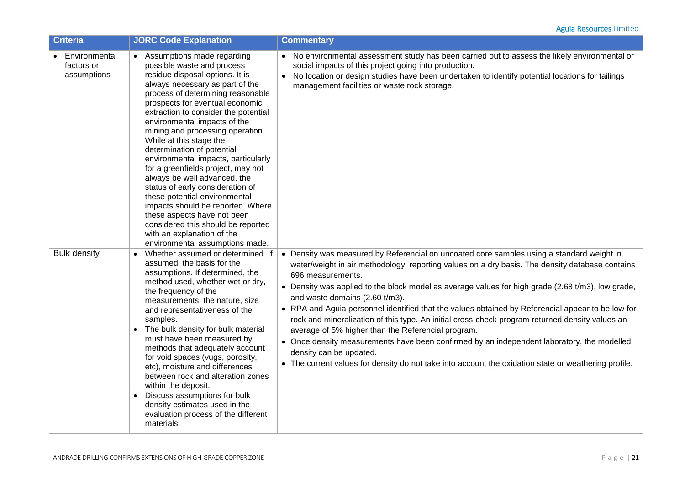| <b>Criteria</b>                            | <b>JORC Code Explanation</b>                                                                                                                                                                                                                                                                                                                                                                                                                                                                                                                                                                                                                                                                                                               | <b>Commentary</b>                                                                                                                                                                                                                                                                                                                                                                                                                                                                                                                                                                                                                                                                                                                                                                                                                                       |
|--------------------------------------------|--------------------------------------------------------------------------------------------------------------------------------------------------------------------------------------------------------------------------------------------------------------------------------------------------------------------------------------------------------------------------------------------------------------------------------------------------------------------------------------------------------------------------------------------------------------------------------------------------------------------------------------------------------------------------------------------------------------------------------------------|---------------------------------------------------------------------------------------------------------------------------------------------------------------------------------------------------------------------------------------------------------------------------------------------------------------------------------------------------------------------------------------------------------------------------------------------------------------------------------------------------------------------------------------------------------------------------------------------------------------------------------------------------------------------------------------------------------------------------------------------------------------------------------------------------------------------------------------------------------|
| Environmental<br>factors or<br>assumptions | • Assumptions made regarding<br>possible waste and process<br>residue disposal options. It is<br>always necessary as part of the<br>process of determining reasonable<br>prospects for eventual economic<br>extraction to consider the potential<br>environmental impacts of the<br>mining and processing operation.<br>While at this stage the<br>determination of potential<br>environmental impacts, particularly<br>for a greenfields project, may not<br>always be well advanced, the<br>status of early consideration of<br>these potential environmental<br>impacts should be reported. Where<br>these aspects have not been<br>considered this should be reported<br>with an explanation of the<br>environmental assumptions made. | No environmental assessment study has been carried out to assess the likely environmental or<br>$\bullet$<br>social impacts of this project going into production.<br>No location or design studies have been undertaken to identify potential locations for tailings<br>$\bullet$<br>management facilities or waste rock storage.                                                                                                                                                                                                                                                                                                                                                                                                                                                                                                                      |
| <b>Bulk density</b>                        | Whether assumed or determined. If<br>$\bullet$<br>assumed, the basis for the<br>assumptions. If determined, the<br>method used, whether wet or dry,<br>the frequency of the<br>measurements, the nature, size<br>and representativeness of the<br>samples.<br>• The bulk density for bulk material<br>must have been measured by<br>methods that adequately account<br>for void spaces (vugs, porosity,<br>etc), moisture and differences<br>between rock and alteration zones<br>within the deposit.<br>Discuss assumptions for bulk<br>$\bullet$<br>density estimates used in the<br>evaluation process of the different<br>materials.                                                                                                   | • Density was measured by Referencial on uncoated core samples using a standard weight in<br>water/weight in air methodology, reporting values on a dry basis. The density database contains<br>696 measurements.<br>• Density was applied to the block model as average values for high grade (2.68 t/m3), low grade,<br>and waste domains (2.60 t/m3).<br>• RPA and Aguia personnel identified that the values obtained by Referencial appear to be low for<br>rock and mineralization of this type. An initial cross-check program returned density values an<br>average of 5% higher than the Referencial program.<br>• Once density measurements have been confirmed by an independent laboratory, the modelled<br>density can be updated.<br>• The current values for density do not take into account the oxidation state or weathering profile. |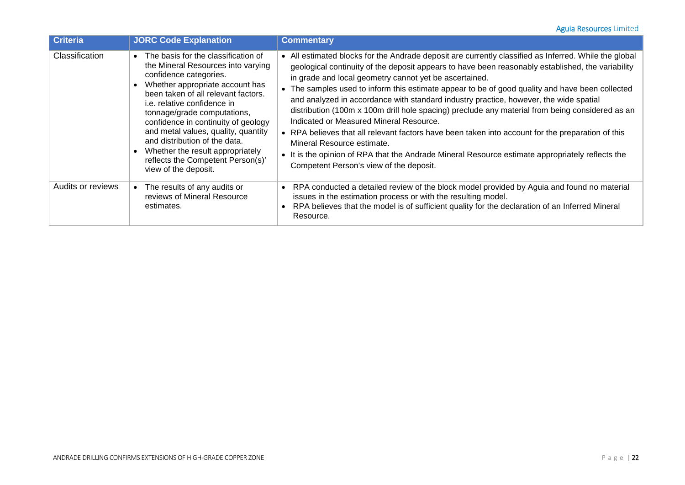| <b>Criteria</b>       | <b>JORC Code Explanation</b>                                                                                                                                                                                                                                                                                                                                                                                                                                  | <b>Commentary</b>                                                                                                                                                                                                                                                                                                                                                                                                                                                                                                                                                                                                                                                                                                                                                                                                                                                                            |
|-----------------------|---------------------------------------------------------------------------------------------------------------------------------------------------------------------------------------------------------------------------------------------------------------------------------------------------------------------------------------------------------------------------------------------------------------------------------------------------------------|----------------------------------------------------------------------------------------------------------------------------------------------------------------------------------------------------------------------------------------------------------------------------------------------------------------------------------------------------------------------------------------------------------------------------------------------------------------------------------------------------------------------------------------------------------------------------------------------------------------------------------------------------------------------------------------------------------------------------------------------------------------------------------------------------------------------------------------------------------------------------------------------|
| <b>Classification</b> | • The basis for the classification of<br>the Mineral Resources into varying<br>confidence categories.<br>Whether appropriate account has<br>been taken of all relevant factors.<br>i.e. relative confidence in<br>tonnage/grade computations,<br>confidence in continuity of geology<br>and metal values, quality, quantity<br>and distribution of the data.<br>Whether the result appropriately<br>reflects the Competent Person(s)'<br>view of the deposit. | All estimated blocks for the Andrade deposit are currently classified as Inferred. While the global<br>geological continuity of the deposit appears to have been reasonably established, the variability<br>in grade and local geometry cannot yet be ascertained.<br>The samples used to inform this estimate appear to be of good quality and have been collected<br>and analyzed in accordance with standard industry practice, however, the wide spatial<br>distribution (100m x 100m drill hole spacing) preclude any material from being considered as an<br>Indicated or Measured Mineral Resource.<br>• RPA believes that all relevant factors have been taken into account for the preparation of this<br>Mineral Resource estimate.<br>• It is the opinion of RPA that the Andrade Mineral Resource estimate appropriately reflects the<br>Competent Person's view of the deposit. |
| Audits or reviews     | The results of any audits or<br>reviews of Mineral Resource<br>estimates.                                                                                                                                                                                                                                                                                                                                                                                     | RPA conducted a detailed review of the block model provided by Aguia and found no material<br>issues in the estimation process or with the resulting model.<br>RPA believes that the model is of sufficient quality for the declaration of an Inferred Mineral<br>Resource.                                                                                                                                                                                                                                                                                                                                                                                                                                                                                                                                                                                                                  |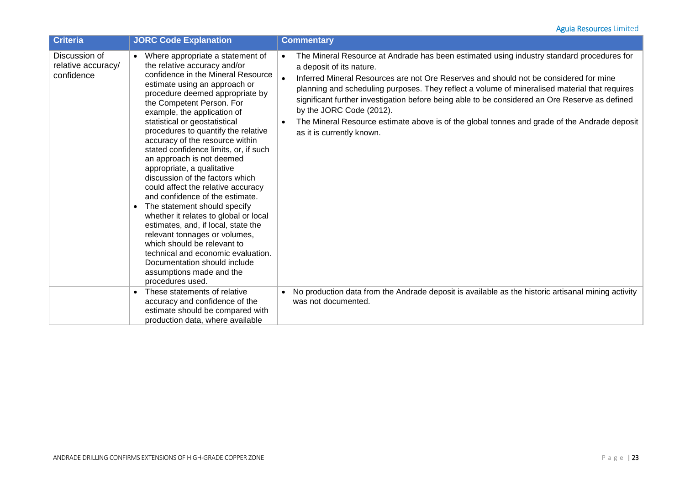| <b>Criteria</b>                                   | <b>JORC Code Explanation</b>                                                                                                                                                                                                                                                                                                                                                                                                                                                                                                                                                                                                                                                                                                                                                                                                                                            | <b>Commentary</b>                                                                                                                                                                                                                                                                                                                                                                                                                                                                                                                                                                                    |
|---------------------------------------------------|-------------------------------------------------------------------------------------------------------------------------------------------------------------------------------------------------------------------------------------------------------------------------------------------------------------------------------------------------------------------------------------------------------------------------------------------------------------------------------------------------------------------------------------------------------------------------------------------------------------------------------------------------------------------------------------------------------------------------------------------------------------------------------------------------------------------------------------------------------------------------|------------------------------------------------------------------------------------------------------------------------------------------------------------------------------------------------------------------------------------------------------------------------------------------------------------------------------------------------------------------------------------------------------------------------------------------------------------------------------------------------------------------------------------------------------------------------------------------------------|
| Discussion of<br>relative accuracy/<br>confidence | Where appropriate a statement of<br>the relative accuracy and/or<br>confidence in the Mineral Resource<br>estimate using an approach or<br>procedure deemed appropriate by<br>the Competent Person. For<br>example, the application of<br>statistical or geostatistical<br>procedures to quantify the relative<br>accuracy of the resource within<br>stated confidence limits, or, if such<br>an approach is not deemed<br>appropriate, a qualitative<br>discussion of the factors which<br>could affect the relative accuracy<br>and confidence of the estimate.<br>The statement should specify<br>whether it relates to global or local<br>estimates, and, if local, state the<br>relevant tonnages or volumes,<br>which should be relevant to<br>technical and economic evaluation.<br>Documentation should include<br>assumptions made and the<br>procedures used. | The Mineral Resource at Andrade has been estimated using industry standard procedures for<br>$\bullet$<br>a deposit of its nature.<br>Inferred Mineral Resources are not Ore Reserves and should not be considered for mine<br>planning and scheduling purposes. They reflect a volume of mineralised material that requires<br>significant further investigation before being able to be considered an Ore Reserve as defined<br>by the JORC Code (2012).<br>The Mineral Resource estimate above is of the global tonnes and grade of the Andrade deposit<br>$\bullet$<br>as it is currently known. |
|                                                   | These statements of relative<br>accuracy and confidence of the<br>estimate should be compared with<br>production data, where available                                                                                                                                                                                                                                                                                                                                                                                                                                                                                                                                                                                                                                                                                                                                  | No production data from the Andrade deposit is available as the historic artisanal mining activity<br>was not documented.                                                                                                                                                                                                                                                                                                                                                                                                                                                                            |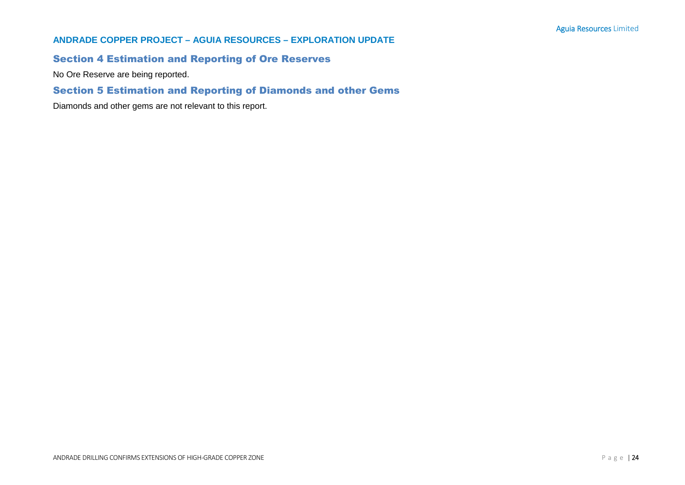## **ANDRADE COPPER PROJECT – AGUIA RESOURCES – EXPLORATION UPDATE**

# Section 4 Estimation and Reporting of Ore Reserves

No Ore Reserve are being reported.

# Section 5 Estimation and Reporting of Diamonds and other Gems

Diamonds and other gems are not relevant to this report.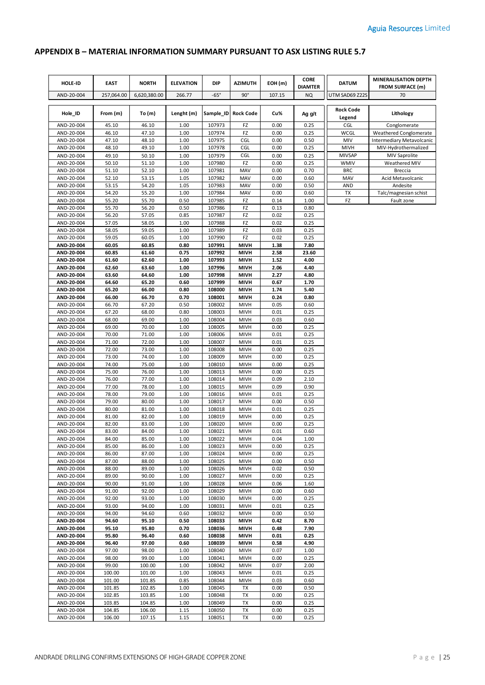# **APPENDIX B – MATERIAL INFORMATION SUMMARY PURSUANT TO ASX LISTING RULE 5.7**

| HOLE-ID                  | <b>EAST</b>    | <b>NORTH</b>   | <b>ELEVATION</b> | DIP              | <b>AZIMUTH</b>             | EOH(m)       | <b>CORE</b><br><b>DIAMTER</b> | <b>DATUM</b>               | MINERALISATION DEPTH<br><b>FROM SURFACE (m)</b> |
|--------------------------|----------------|----------------|------------------|------------------|----------------------------|--------------|-------------------------------|----------------------------|-------------------------------------------------|
| AND-20-004               | 257,064.00     | 6,620,380.00   | 266.77           | $-65°$           | $90^\circ$                 | 107.15       | <b>NQ</b>                     | UTM SAD69 Z22S             | 70                                              |
| Hole_ID                  | From (m)       | To (m)         | Lenght (m)       |                  | Sample_ID Rock Code        | Cu%          | Ag g/t                        | <b>Rock Code</b><br>Legend | Lithology                                       |
| AND-20-004               | 45.10          | 46.10          | 1.00             | 107973           | FZ                         | 0.00         | 0.25                          | CGL                        | Conglomerate                                    |
| AND-20-004               | 46.10          | 47.10          | 1.00             | 107974           | FZ                         | 0.00         | 0.25                          | WCGL                       | Weathered Conglomerate                          |
| AND-20-004               | 47.10          | 48.10          | 1.00             | 107975           | <b>CGL</b>                 | 0.00         | 0.50                          | MIV                        | Intermediary Metavolcanic                       |
| AND-20-004               | 48.10          | 49.10          | 1.00             | 107978           | CGL                        | 0.00         | 0.25                          | MIVH                       | MIV-Hydrothermalized                            |
| AND-20-004               | 49.10          | 50.10          | 1.00             | 107979           | CGL                        | 0.00         | 0.25                          | <b>MIVSAP</b>              | <b>MIV Saprolite</b>                            |
| AND-20-004               | 50.10          | 51.10          | 1.00             | 107980           | FZ                         | 0.00         | 0.25                          | <b>WMIV</b>                | Weathered MIV                                   |
| AND-20-004               | 51.10          | 52.10          | 1.00             | 107981           | MAV                        | 0.00         | 0.70                          | <b>BRC</b>                 | <b>Breccia</b>                                  |
| AND-20-004               | 52.10          | 53.15          | 1.05             | 107982           | MAV                        | 0.00         | 0.60                          | MAV                        | Acid Metavolcanic                               |
| AND-20-004               | 53.15          | 54.20          | 1.05             | 107983           | MAV                        | 0.00         | 0.50                          | <b>AND</b>                 | Andesite                                        |
| AND-20-004               | 54.20          | 55.20          | 1.00             | 107984           | MAV                        | 0.00         | 0.60                          | TX                         | Talc/magnesian schist                           |
| AND-20-004<br>AND-20-004 | 55.20<br>55.70 | 55.70<br>56.20 | 0.50<br>0.50     | 107985<br>107986 | FZ<br>FZ                   | 0.14<br>0.13 | 1.00<br>0.80                  | FZ                         | Fault zone                                      |
| AND-20-004               | 56.20          | 57.05          | 0.85             | 107987           | FZ                         | 0.02         | 0.25                          |                            |                                                 |
| AND-20-004               | 57.05          | 58.05          | 1.00             | 107988           | FZ                         | 0.02         | 0.25                          |                            |                                                 |
| AND-20-004               | 58.05          | 59.05          | 1.00             | 107989           | FZ                         | 0.03         | 0.25                          |                            |                                                 |
| AND-20-004               | 59.05          | 60.05          | 1.00             | 107990           | FZ                         | 0.02         | 0.25                          |                            |                                                 |
| AND-20-004               | 60.05          | 60.85          | 0.80             | 107991           | <b>MIVH</b>                | 1.38         | 7.80                          |                            |                                                 |
| AND-20-004               | 60.85          | 61.60          | 0.75             | 107992           | <b>MIVH</b>                | 2.58         | 23.60                         |                            |                                                 |
| AND-20-004               | 61.60          | 62.60          | 1.00             | 107993           | <b>MIVH</b>                | 1.52         | 4.00                          |                            |                                                 |
| AND-20-004               | 62.60          | 63.60          | 1.00             | 107996           | <b>MIVH</b>                | 2.06         | 4.40                          |                            |                                                 |
| AND-20-004               | 63.60          | 64.60          | 1.00             | 107998           | <b>MIVH</b>                | 2.27         | 4.80                          |                            |                                                 |
| AND-20-004               | 64.60          | 65.20          | 0.60             | 107999           | <b>MIVH</b>                | 0.67         | 1.70                          |                            |                                                 |
| AND-20-004               | 65.20          | 66.00          | 0.80             | 108000           | <b>MIVH</b>                | 1.74         | 5.40                          |                            |                                                 |
| AND-20-004               | 66.00          | 66.70          | 0.70             | 108001           | <b>MIVH</b>                | 0.24         | 0.80                          |                            |                                                 |
| AND-20-004               | 66.70          | 67.20          | 0.50             | 108002           | <b>MIVH</b>                | 0.05         | 0.60                          |                            |                                                 |
| AND-20-004               | 67.20          | 68.00          | 0.80             | 108003           | <b>MIVH</b>                | 0.01         | 0.25                          |                            |                                                 |
| AND-20-004               | 68.00          | 69.00          | 1.00             | 108004           | MIVH                       | 0.03         | 0.60                          |                            |                                                 |
| AND-20-004               | 69.00          | 70.00          | 1.00             | 108005           | <b>MIVH</b>                | 0.00         | 0.25                          |                            |                                                 |
| AND-20-004<br>AND-20-004 | 70.00<br>71.00 | 71.00<br>72.00 | 1.00<br>1.00     | 108006<br>108007 | MIVH<br><b>MIVH</b>        | 0.01<br>0.01 | 0.25<br>0.25                  |                            |                                                 |
| AND-20-004               | 72.00          | 73.00          | 1.00             | 108008           | MIVH                       | 0.00         | 0.25                          |                            |                                                 |
| AND-20-004               | 73.00          | 74.00          | 1.00             | 108009           | <b>MIVH</b>                | 0.00         | 0.25                          |                            |                                                 |
| AND-20-004               | 74.00          | 75.00          | 1.00             | 108010           | <b>MIVH</b>                | 0.00         | 0.25                          |                            |                                                 |
| AND-20-004               | 75.00          | 76.00          | 1.00             | 108013           | <b>MIVH</b>                | 0.00         | 0.25                          |                            |                                                 |
| AND-20-004               | 76.00          | 77.00          | 1.00             | 108014           | <b>MIVH</b>                | 0.09         | 2.10                          |                            |                                                 |
| AND-20-004               | 77.00          | 78.00          | 1.00             | 108015           | <b>MIVH</b>                | 0.09         | 0.90                          |                            |                                                 |
| AND-20-004               | 78.00          | 79.00          | 1.00             | 108016           | <b>MIVH</b>                | 0.01         | 0.25                          |                            |                                                 |
| AND-20-004               | 79.00          | 80.00          | 1.00             | 108017           | <b>MIVH</b>                | 0.00         | 0.50                          |                            |                                                 |
| AND-20-004               | 80.00          | 81.00          | 1.00             | 108018           | <b>MIVH</b>                | 0.01         | 0.25                          |                            |                                                 |
| AND-20-004               | 81.00          | 82.00          | 1.00             | 108019           | <b>MIVH</b>                | 0.00         | 0.25                          |                            |                                                 |
| AND-20-004               | 82.00          | 83.00          | 1.00             | 108020           | <b>MIVH</b>                | 0.00         | 0.25                          |                            |                                                 |
| AND-20-004               | 83.00          | 84.00          | 1.00             | 108021           | <b>MIVH</b>                | 0.01         | 0.60                          |                            |                                                 |
| AND-20-004               | 84.00          | 85.00          | 1.00             | 108022           | <b>MIVH</b>                | 0.04         | 1.00                          |                            |                                                 |
| AND-20-004<br>AND-20-004 | 85.00<br>86.00 | 86.00<br>87.00 | 1.00<br>1.00     | 108023<br>108024 | MIVH<br>MIVH               | 0.00<br>0.00 | 0.25<br>0.25                  |                            |                                                 |
| AND-20-004               | 87.00          | 88.00          | 1.00             | 108025           | MIVH                       | 0.00         | 0.50                          |                            |                                                 |
| AND-20-004               | 88.00          | 89.00          | 1.00             | 108026           | MIVH                       | 0.02         | 0.50                          |                            |                                                 |
| AND-20-004               | 89.00          | 90.00          | 1.00             | 108027           | MIVH                       | 0.00         | 0.25                          |                            |                                                 |
| AND-20-004               | 90.00          | 91.00          | 1.00             | 108028           | MIVH                       | 0.06         | 1.60                          |                            |                                                 |
| AND-20-004               | 91.00          | 92.00          | 1.00             | 108029           | MIVH                       | 0.00         | 0.60                          |                            |                                                 |
| AND-20-004               | 92.00          | 93.00          | 1.00             | 108030           | <b>MIVH</b>                | 0.00         | 0.25                          |                            |                                                 |
| AND-20-004               | 93.00          | 94.00          | 1.00             | 108031           | <b>MIVH</b>                | 0.01         | 0.25                          |                            |                                                 |
| AND-20-004               | 94.00          | 94.60          | 0.60             | 108032           | <b>MIVH</b>                | 0.00         | 0.50                          |                            |                                                 |
| AND-20-004               | 94.60          | 95.10          | 0.50             | 108033           | <b>MIVH</b>                | 0.42         | 8.70                          |                            |                                                 |
| AND-20-004               | 95.10          | 95.80          | 0.70             | 108036           | <b>MIVH</b>                | 0.48         | 7.90                          |                            |                                                 |
| AND-20-004               | 95.80          | 96.40          | 0.60             | 108038           | <b>MIVH</b>                | 0.01         | 0.25                          |                            |                                                 |
| AND-20-004<br>AND-20-004 | 96.40<br>97.00 | 97.00<br>98.00 | 0.60<br>1.00     | 108039<br>108040 | <b>MIVH</b><br><b>MIVH</b> | 0.58<br>0.07 | 4.90<br>1.00                  |                            |                                                 |
| AND-20-004               | 98.00          | 99.00          | 1.00             | 108041           | <b>MIVH</b>                | 0.00         | 0.25                          |                            |                                                 |
| AND-20-004               | 99.00          | 100.00         | 1.00             | 108042           | MIVH                       | 0.07         | 2.00                          |                            |                                                 |
| AND-20-004               | 100.00         | 101.00         | 1.00             | 108043           | <b>MIVH</b>                | 0.01         | 0.25                          |                            |                                                 |
| AND-20-004               | 101.00         | 101.85         | 0.85             | 108044           | <b>MIVH</b>                | 0.03         | 0.60                          |                            |                                                 |
| AND-20-004               | 101.85         | 102.85         | 1.00             | 108045           | TX                         | 0.00         | 0.50                          |                            |                                                 |
| AND-20-004               | 102.85         | 103.85         | 1.00             | 108048           | TX                         | 0.00         | 0.25                          |                            |                                                 |
| AND-20-004               | 103.85         | 104.85         | 1.00             | 108049           | TX                         | 0.00         | 0.25                          |                            |                                                 |
| AND-20-004               | 104.85         | 106.00         | 1.15             | 108050           | TX                         | 0.00         | 0.25                          |                            |                                                 |
| AND-20-004               | 106.00         | 107.15         | 1.15             | 108051           | TX                         | 0.00         | 0.25                          |                            |                                                 |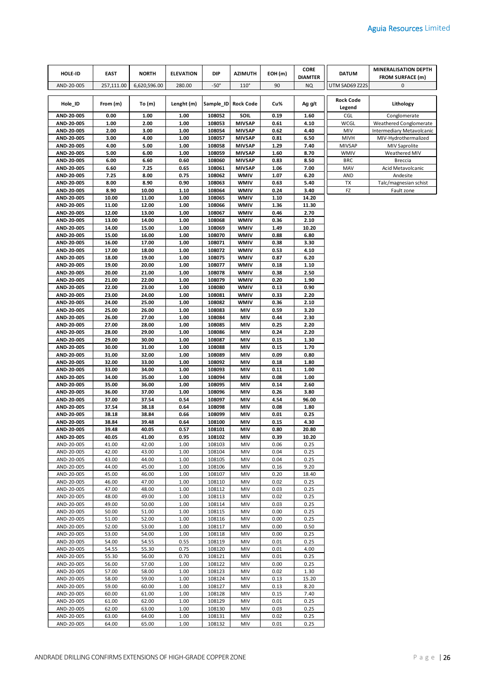| HOLE-ID                  | <b>EAST</b>    | <b>NORTH</b>   | <b>ELEVATION</b> | <b>DIP</b>       | <b>AZIMUTH</b>                 | EOH(m)       | <b>CORE</b><br><b>DIAMTER</b> | <b>DATUM</b>          | <b>MINERALISATION DEPTH</b><br><b>FROM SURFACE (m)</b> |
|--------------------------|----------------|----------------|------------------|------------------|--------------------------------|--------------|-------------------------------|-----------------------|--------------------------------------------------------|
| AND-20-005               | 257,111.00     | 6,620,596.00   | 280.00           | $-50^\circ$      | $110^\circ$                    | 90           | NQ                            | UTM SAD69 Z22S        | 0                                                      |
|                          |                |                |                  |                  |                                |              |                               | <b>Rock Code</b>      |                                                        |
| Hole_ID                  | From (m)       | To $(m)$       | Lenght (m)       |                  | Sample_ID Rock Code            | Cu%          | Ag g/t                        | Legend                | Lithology                                              |
| AND-20-005               | 0.00           | 1.00           | 1.00             | 108052           | SOIL                           | 0.19         | 1.60                          | CGL                   | Conglomerate                                           |
| AND-20-005               | 1.00           | 2.00           | 1.00             | 108053           | <b>MIVSAP</b>                  | 0.61         | 4.10                          | WCGL                  | Weathered Conglomerate                                 |
| AND-20-005               | 2.00           | 3.00           | 1.00             | 108054           | <b>MIVSAP</b>                  | 0.62         | 4.40                          | MIV                   | Intermediary Metavolcanic                              |
| AND-20-005<br>AND-20-005 | 3.00<br>4.00   | 4.00<br>5.00   | 1.00<br>1.00     | 108057<br>108058 | <b>MIVSAP</b><br><b>MIVSAP</b> | 0.81<br>1.29 | 6.50<br>7.40                  | MIVH<br><b>MIVSAP</b> | MIV-Hydrothermalized<br><b>MIV Saprolite</b>           |
| AND-20-005               | 5.00           | 6.00           | 1.00             | 108059           | <b>MIVSAP</b>                  | 1.60         | 8.70                          | <b>WMIV</b>           | Weathered MIV                                          |
| AND-20-005               | 6.00           | 6.60           | 0.60             | 108060           | <b>MIVSAP</b>                  | 0.83         | 8.50                          | <b>BRC</b>            | <b>Breccia</b>                                         |
| AND-20-005               | 6.60           | 7.25           | 0.65             | 108061           | <b>MIVSAP</b>                  | 1.06         | 7.00                          | MAV                   | Acid Metavolcanic                                      |
| AND-20-005               | 7.25           | 8.00           | 0.75             | 108062           | WMIV                           | 1.07         | 6.20                          | <b>AND</b>            | Andesite                                               |
| AND-20-005               | 8.00           | 8.90           | 0.90             | 108063           | WMIV                           | 0.63         | 5.40                          | TX                    | Talc/magnesian schist                                  |
| AND-20-005<br>AND-20-005 | 8.90<br>10.00  | 10.00<br>11.00 | 1.10<br>1.00     | 108064<br>108065 | <b>WMIV</b><br><b>WMIV</b>     | 0.24<br>1.10 | 3.40<br>14.20                 | FZ                    | Fault zone                                             |
| AND-20-005               | 11.00          | 12.00          | 1.00             | 108066           | <b>WMIV</b>                    | 1.36         | 11.30                         |                       |                                                        |
| AND-20-005               | 12.00          | 13.00          | 1.00             | 108067           | <b>WMIV</b>                    | 0.46         | 2.70                          |                       |                                                        |
| AND-20-005               | 13.00          | 14.00          | 1.00             | 108068           | <b>WMIV</b>                    | 0.36         | 2.10                          |                       |                                                        |
| AND-20-005               | 14.00          | 15.00          | 1.00             | 108069           | WMIV                           | 1.49         | 10.20                         |                       |                                                        |
| AND-20-005               | 15.00          | 16.00          | 1.00             | 108070           | WMIV                           | 0.88         | 6.80                          |                       |                                                        |
| AND-20-005               | 16.00          | 17.00          | 1.00             | 108071           | <b>WMIV</b>                    | 0.38         | 3.30                          |                       |                                                        |
| AND-20-005<br>AND-20-005 | 17.00<br>18.00 | 18.00<br>19.00 | 1.00<br>1.00     | 108072<br>108075 | <b>WMIV</b><br><b>WMIV</b>     | 0.53<br>0.87 | 4.10<br>6.20                  |                       |                                                        |
| AND-20-005               | 19.00          | 20.00          | 1.00             | 108077           | <b>WMIV</b>                    | 0.18         | 1.10                          |                       |                                                        |
| AND-20-005               | 20.00          | 21.00          | 1.00             | 108078           | <b>WMIV</b>                    | 0.38         | 2.50                          |                       |                                                        |
| AND-20-005               | 21.00          | 22.00          | 1.00             | 108079           | <b>WMIV</b>                    | 0.20         | 1.90                          |                       |                                                        |
| AND-20-005               | 22.00          | 23.00          | 1.00             | 108080           | WMIV                           | 0.13         | 0.90                          |                       |                                                        |
| AND-20-005               | 23.00          | 24.00          | 1.00             | 108081           | WMIV                           | 0.33         | 2.20                          |                       |                                                        |
| AND-20-005               | 24.00          | 25.00          | 1.00             | 108082           | WMIV                           | 0.36         | 2.10                          |                       |                                                        |
| AND-20-005<br>AND-20-005 | 25.00<br>26.00 | 26.00<br>27.00 | 1.00<br>1.00     | 108083<br>108084 | MIV<br>MIV                     | 0.59<br>0.44 | 3.20<br>2.30                  |                       |                                                        |
| AND-20-005               | 27.00          | 28.00          | 1.00             | 108085           | MIV                            | 0.25         | 2.20                          |                       |                                                        |
| AND-20-005               | 28.00          | 29.00          | 1.00             | 108086           | MIV                            | 0.24         | 2.20                          |                       |                                                        |
| AND-20-005               | 29.00          | 30.00          | 1.00             | 108087           | MIV                            | 0.15         | 1.30                          |                       |                                                        |
| AND-20-005               | 30.00          | 31.00          | 1.00             | 108088           | MIV                            | 0.15         | 1.70                          |                       |                                                        |
| AND-20-005               | 31.00          | 32.00          | 1.00             | 108089           | MIV                            | 0.09         | 0.80                          |                       |                                                        |
| AND-20-005               | 32.00          | 33.00          | 1.00             | 108092           | MIV                            | 0.18         | 1.80                          |                       |                                                        |
| AND-20-005<br>AND-20-005 | 33.00<br>34.00 | 34.00<br>35.00 | 1.00<br>1.00     | 108093<br>108094 | MIV<br>MIV                     | 0.11<br>0.08 | 1.00<br>1.00                  |                       |                                                        |
| AND-20-005               | 35.00          | 36.00          | 1.00             | 108095           | MIV                            | 0.14         | 2.60                          |                       |                                                        |
| AND-20-005               | 36.00          | 37.00          | 1.00             | 108096           | MIV                            | 0.26         | 3.80                          |                       |                                                        |
| AND-20-005               | 37.00          | 37.54          | 0.54             | 108097           | MIV                            | 4.54         | 96.00                         |                       |                                                        |
| AND-20-005               | 37.54          | 38.18          | 0.64             | 108098           | MIV                            | 0.08         | 1.80                          |                       |                                                        |
| AND-20-005               | 38.18          | 38.84          | 0.66             | 108099           | MIV                            | 0.01         | 0.25                          |                       |                                                        |
| AND-20-005               | 38.84          | 39.48          | 0.64             | 108100           | MIV                            | 0.15         | 4.30                          |                       |                                                        |
| AND-20-005<br>AND-20-005 | 39.48<br>40.05 | 40.05<br>41.00 | 0.57<br>0.95     | 108101<br>108102 | MIV<br>MIV                     | 0.80<br>0.39 | 20.80<br>10.20                |                       |                                                        |
| AND-20-005               | 41.00          | 42.00          | 1.00             | 108103           | MIV                            | 0.06         | 0.25                          |                       |                                                        |
| AND-20-005               | 42.00          | 43.00          | 1.00             | 108104           | MIV                            | 0.04         | 0.25                          |                       |                                                        |
| AND-20-005               | 43.00          | 44.00          | 1.00             | 108105           | MIV                            | 0.04         | 0.25                          |                       |                                                        |
| AND-20-005               | 44.00          | 45.00          | 1.00             | 108106           | MIV                            | 0.16         | 9.20                          |                       |                                                        |
| AND-20-005               | 45.00          | 46.00          | 1.00             | 108107<br>108110 | MIV                            | 0.20         | 18.40                         |                       |                                                        |
| AND-20-005<br>AND-20-005 | 46.00<br>47.00 | 47.00<br>48.00 | 1.00<br>1.00     | 108112           | MIV<br>MIV                     | 0.02<br>0.03 | 0.25<br>0.25                  |                       |                                                        |
| AND-20-005               | 48.00          | 49.00          | 1.00             | 108113           | MIV                            | 0.02         | 0.25                          |                       |                                                        |
| AND-20-005               | 49.00          | 50.00          | 1.00             | 108114           | MIV                            | 0.03         | 0.25                          |                       |                                                        |
| AND-20-005               | 50.00          | 51.00          | 1.00             | 108115           | MIV                            | 0.00         | 0.25                          |                       |                                                        |
| AND-20-005               | 51.00          | 52.00          | 1.00             | 108116           | MIV                            | 0.00         | 0.25                          |                       |                                                        |
| AND-20-005               | 52.00          | 53.00          | 1.00             | 108117           | MIV                            | 0.00         | 0.50                          |                       |                                                        |
| AND-20-005<br>AND-20-005 | 53.00<br>54.00 | 54.00<br>54.55 | 1.00<br>0.55     | 108118<br>108119 | MIV<br>MIV                     | 0.00<br>0.01 | 0.25<br>0.25                  |                       |                                                        |
| AND-20-005               | 54.55          | 55.30          | 0.75             | 108120           | MIV                            | 0.01         | 4.00                          |                       |                                                        |
| AND-20-005               | 55.30          | 56.00          | 0.70             | 108121           | MIV                            | 0.01         | 0.25                          |                       |                                                        |
| AND-20-005               | 56.00          | 57.00          | 1.00             | 108122           | MIV                            | 0.00         | 0.25                          |                       |                                                        |
| AND-20-005               | 57.00          | 58.00          | 1.00             | 108123           | MIV                            | 0.02         | 1.30                          |                       |                                                        |
| AND-20-005               | 58.00          | 59.00          | 1.00             | 108124           | MIV                            | 0.13         | 15.20                         |                       |                                                        |
| AND-20-005               | 59.00          | 60.00          | 1.00             | 108127           | MIV                            | 0.13         | 8.20                          |                       |                                                        |
| AND-20-005<br>AND-20-005 | 60.00<br>61.00 | 61.00<br>62.00 | 1.00<br>1.00     | 108128<br>108129 | MIV<br>MIV                     | 0.15<br>0.01 | 7.40<br>0.25                  |                       |                                                        |
| AND-20-005               | 62.00          | 63.00          | 1.00             | 108130           | MIV                            | 0.03         | 0.25                          |                       |                                                        |
| AND-20-005               | 63.00          | 64.00          | 1.00             | 108131           | MIV                            | 0.02         | 0.25                          |                       |                                                        |
| AND-20-005               | 64.00          | 65.00          | 1.00             | 108132           | MIV                            | 0.01         | 0.25                          |                       |                                                        |